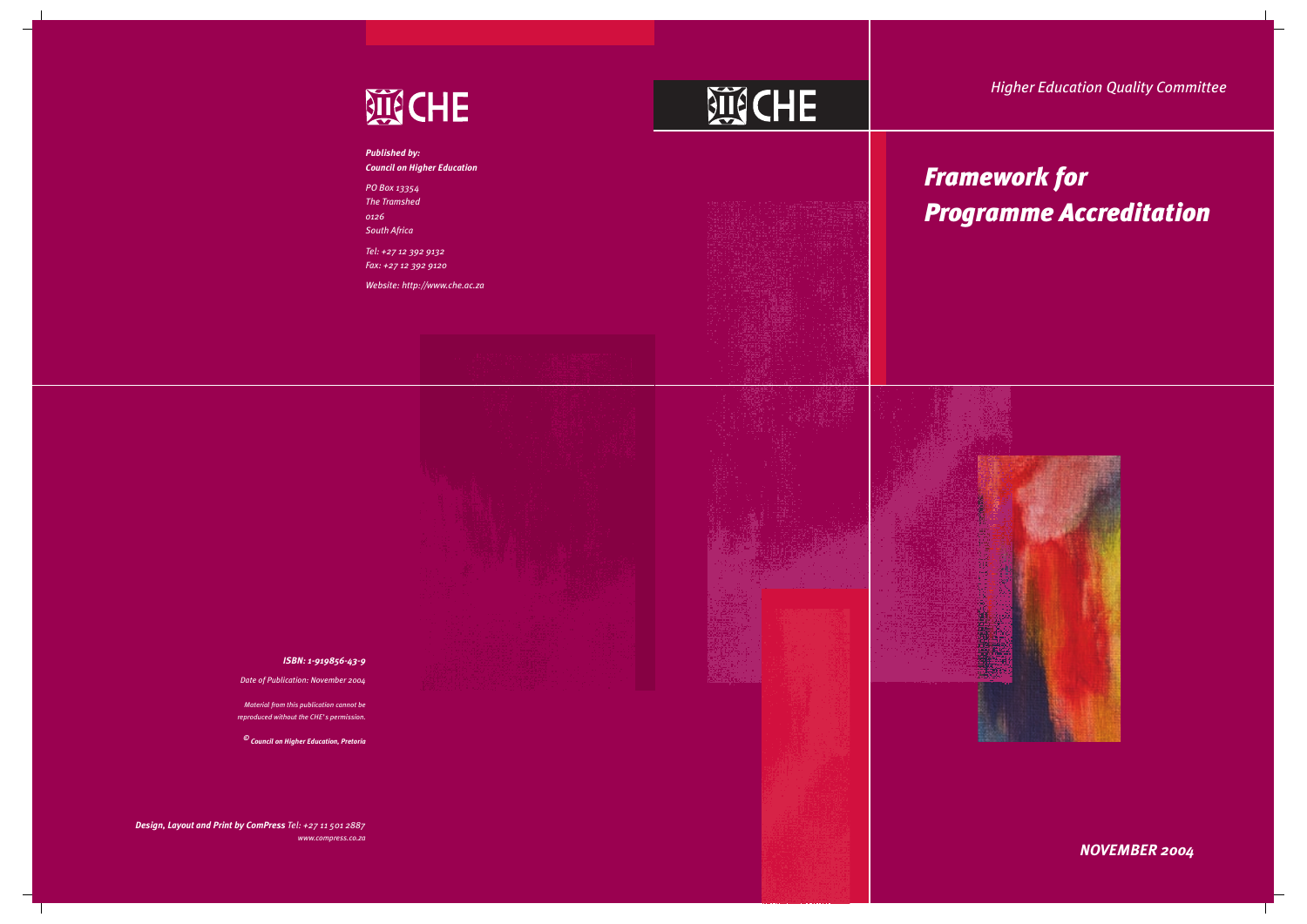

*Higher Education Quality Committee*

# *Framework for Programme Accreditation*

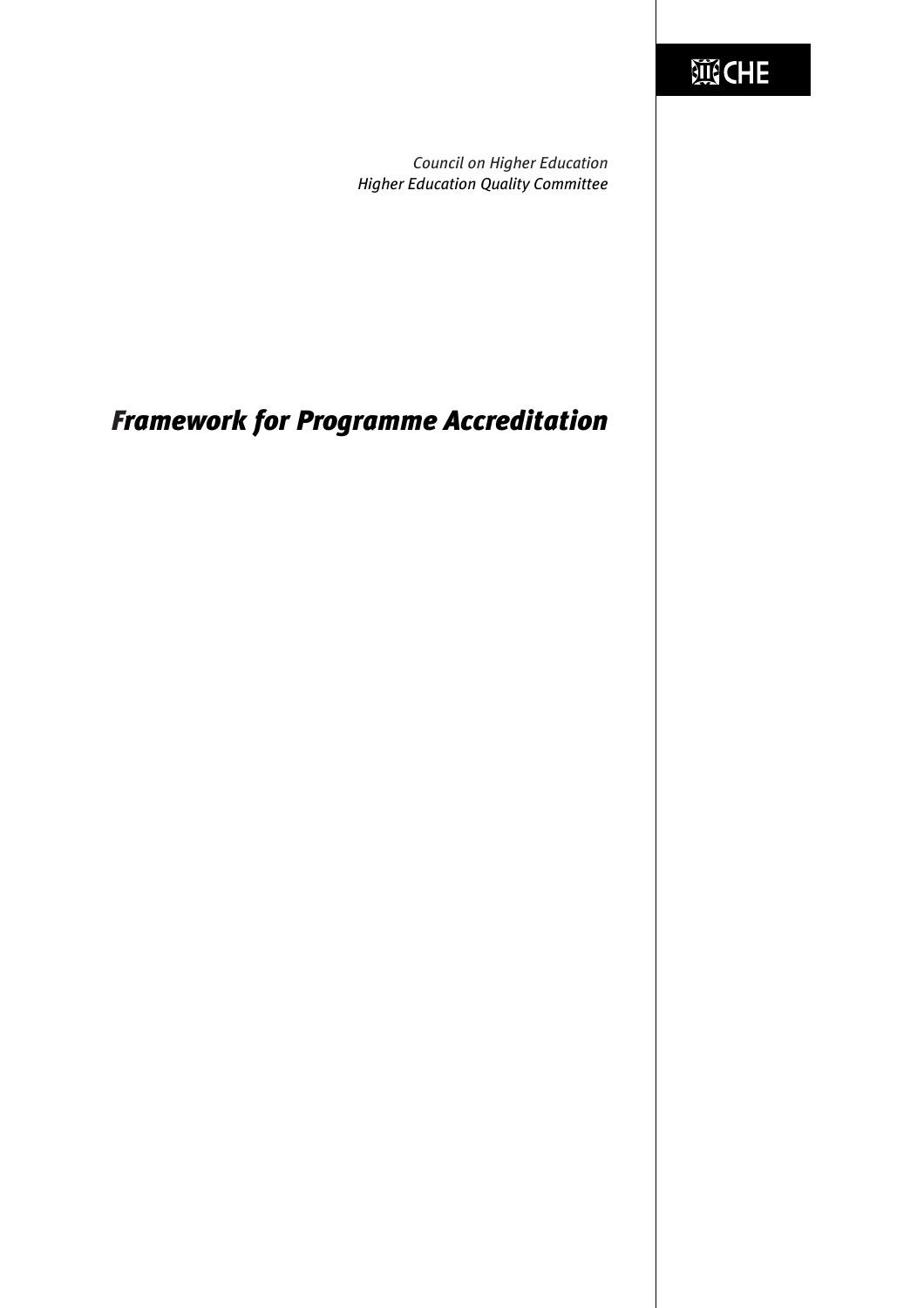# **IIICHE**

*Council on Higher Education Higher Education Quality Committee*

# *Framework for Programme Accreditation*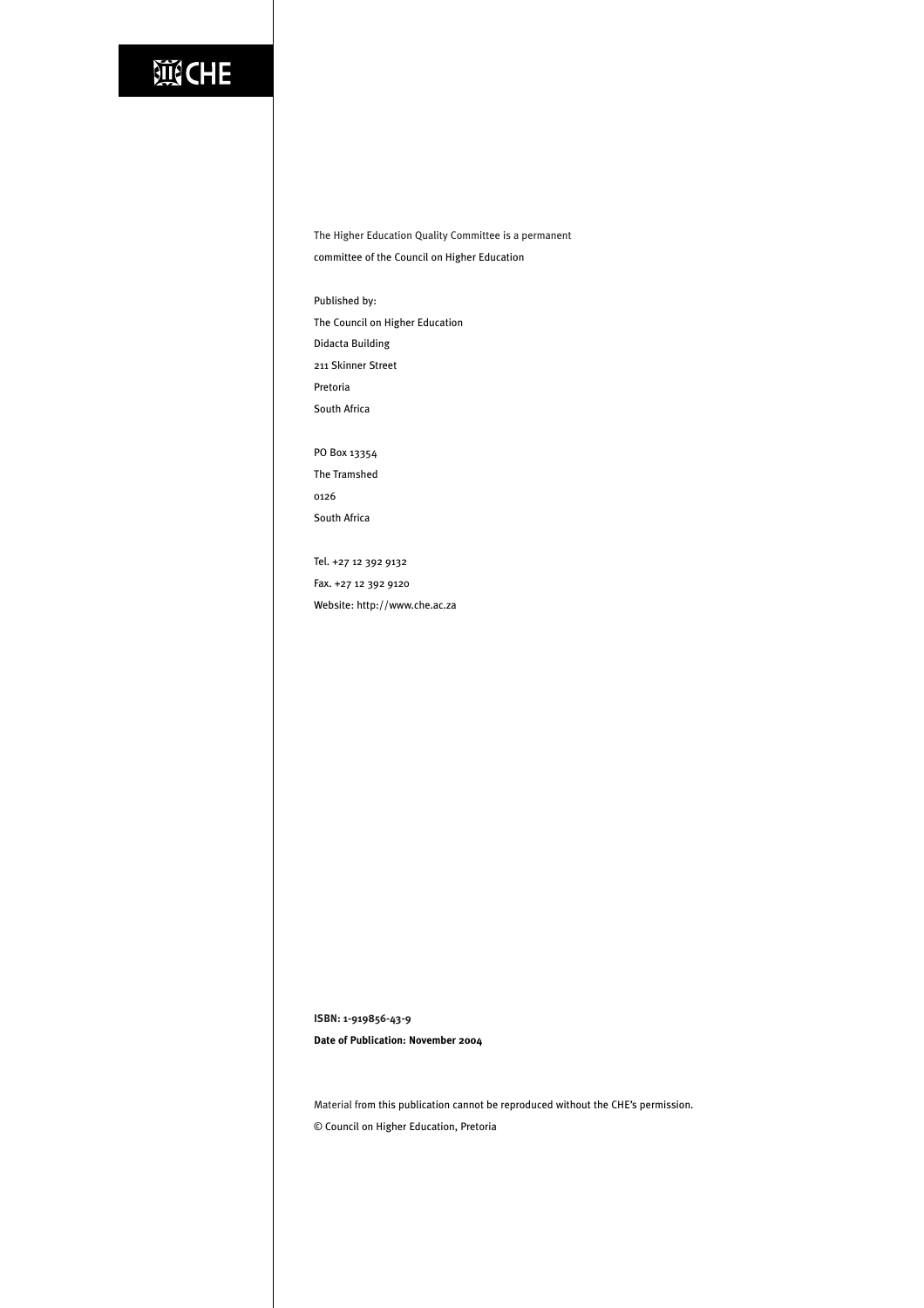# **WCHE**

The Higher Education Quality Committee is a permanent committee of the Council on Higher Education

Published by: The Council on Higher Education Didacta Building 211 Skinner Street Pretoria South Africa

PO Box 13354 The Tramshed 0126 South Africa

Tel. +27 12 392 9132 Fax. +27 12 392 9120 Website: http://www.che.ac.za

**ISBN: 1-919856-43-9 Date of Publication: November 2004**

Material from this publication cannot be reproduced without the CHE's permission. © Council on Higher Education, Pretoria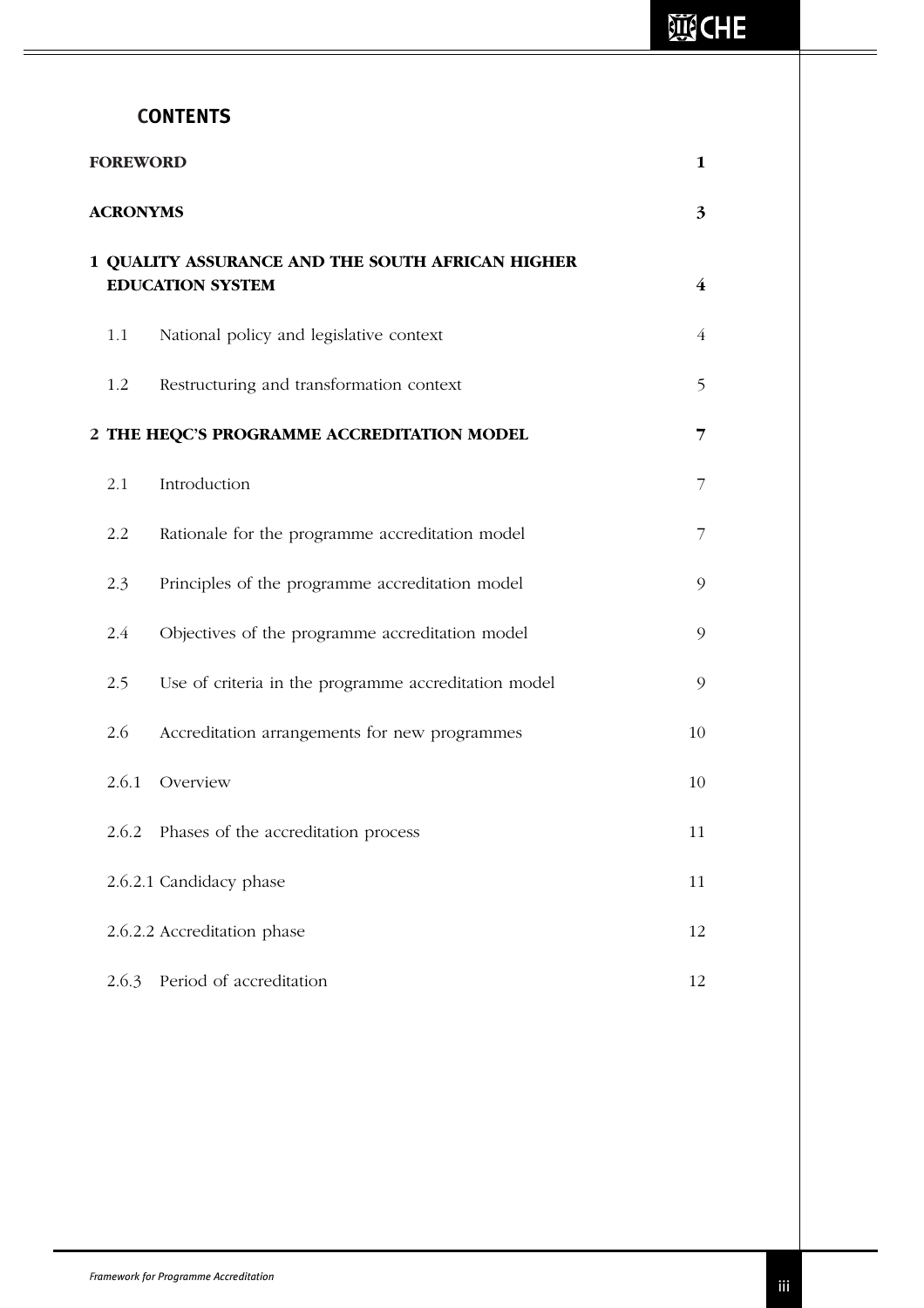# **FOREWORD 1 ACRONYMS 3 1 QUALITY ASSURANCE AND THE SOUTH AFRICAN HIGHER EDUCATION SYSTEM 4**  1.1 National policy and legislative context 4 1.2 Restructuring and transformation context 5 **2 THE HEQC'S PROGRAMME ACCREDITATION MODEL 7** 2.1 Introduction 7 2.2 Rationale for the programme accreditation model 7 2.3 Principles of the programme accreditation model 9 2.4 Objectives of the programme accreditation model 9 2.5 Use of criteria in the programme accreditation model 9 2.6 Accreditation arrangements for new programmes 10 2.6.1 Overview 10 2.6.2 Phases of the accreditation process 11 2.6.2.1 Candidacy phase 11 2.6.2.2 Accreditation phase 12 **CONTENTS**

2.6.3 Period of accreditation 12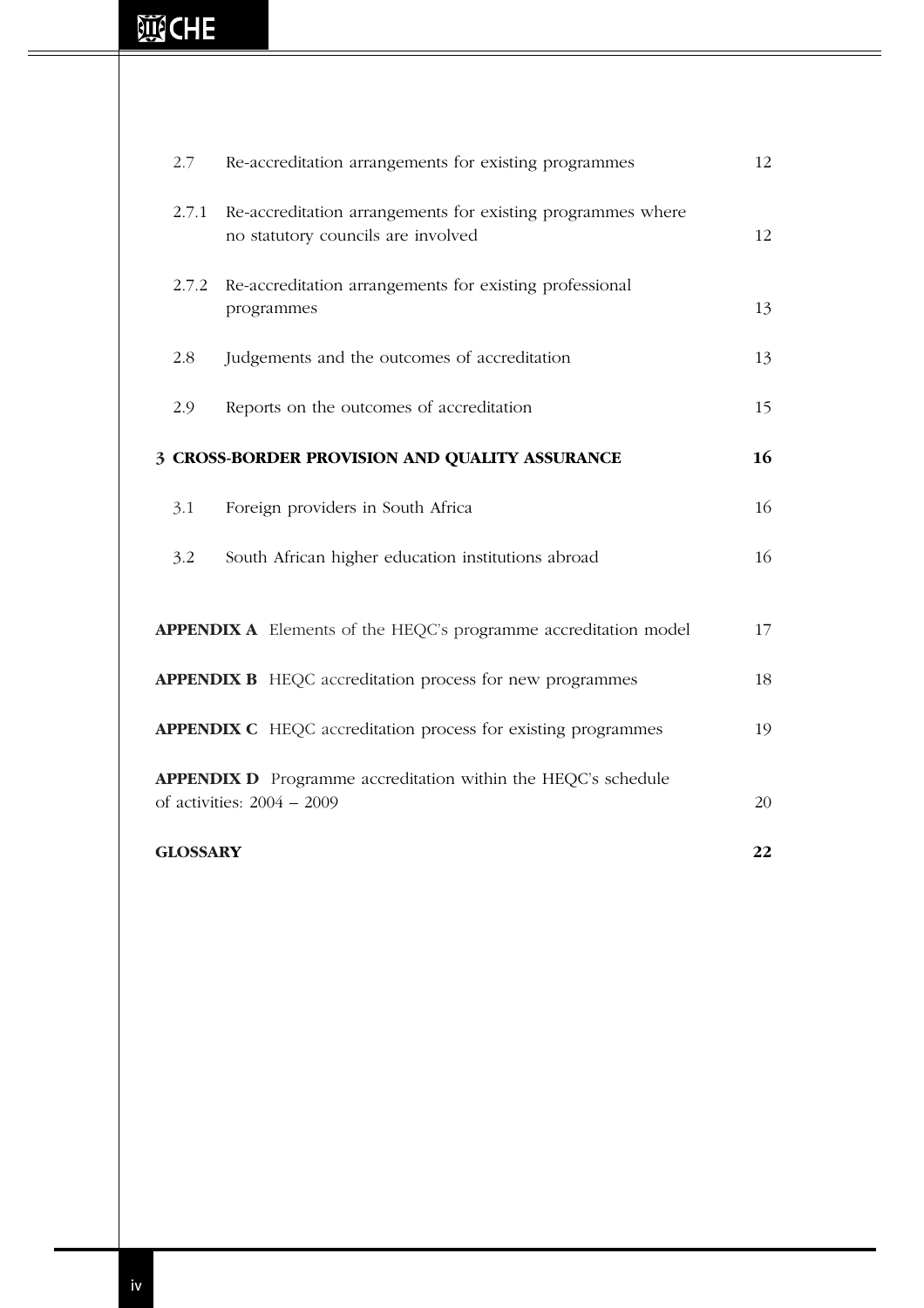# **iii(CHE**

| 2.7             | Re-accreditation arrangements for existing programmes                                                | 12 |
|-----------------|------------------------------------------------------------------------------------------------------|----|
| 2.7.1           | Re-accreditation arrangements for existing programmes where<br>no statutory councils are involved    | 12 |
| 2.7.2           | Re-accreditation arrangements for existing professional<br>programmes                                | 13 |
| 2.8             | Judgements and the outcomes of accreditation                                                         | 13 |
| 2.9             | Reports on the outcomes of accreditation                                                             | 15 |
|                 | 3 CROSS-BORDER PROVISION AND QUALITY ASSURANCE                                                       | 16 |
| 3.1             | Foreign providers in South Africa                                                                    | 16 |
| 3.2             | South African higher education institutions abroad                                                   | 16 |
|                 |                                                                                                      |    |
|                 | APPENDIX A Elements of the HEQC's programme accreditation model                                      | 17 |
|                 | <b>APPENDIX B</b> HEQC accreditation process for new programmes                                      | 18 |
|                 | <b>APPENDIX C</b> HEQC accreditation process for existing programmes                                 | 19 |
|                 | <b>APPENDIX D</b> Programme accreditation within the HEQC's schedule<br>of activities: $2004 - 2009$ | 20 |
| <b>GLOSSARY</b> |                                                                                                      | 22 |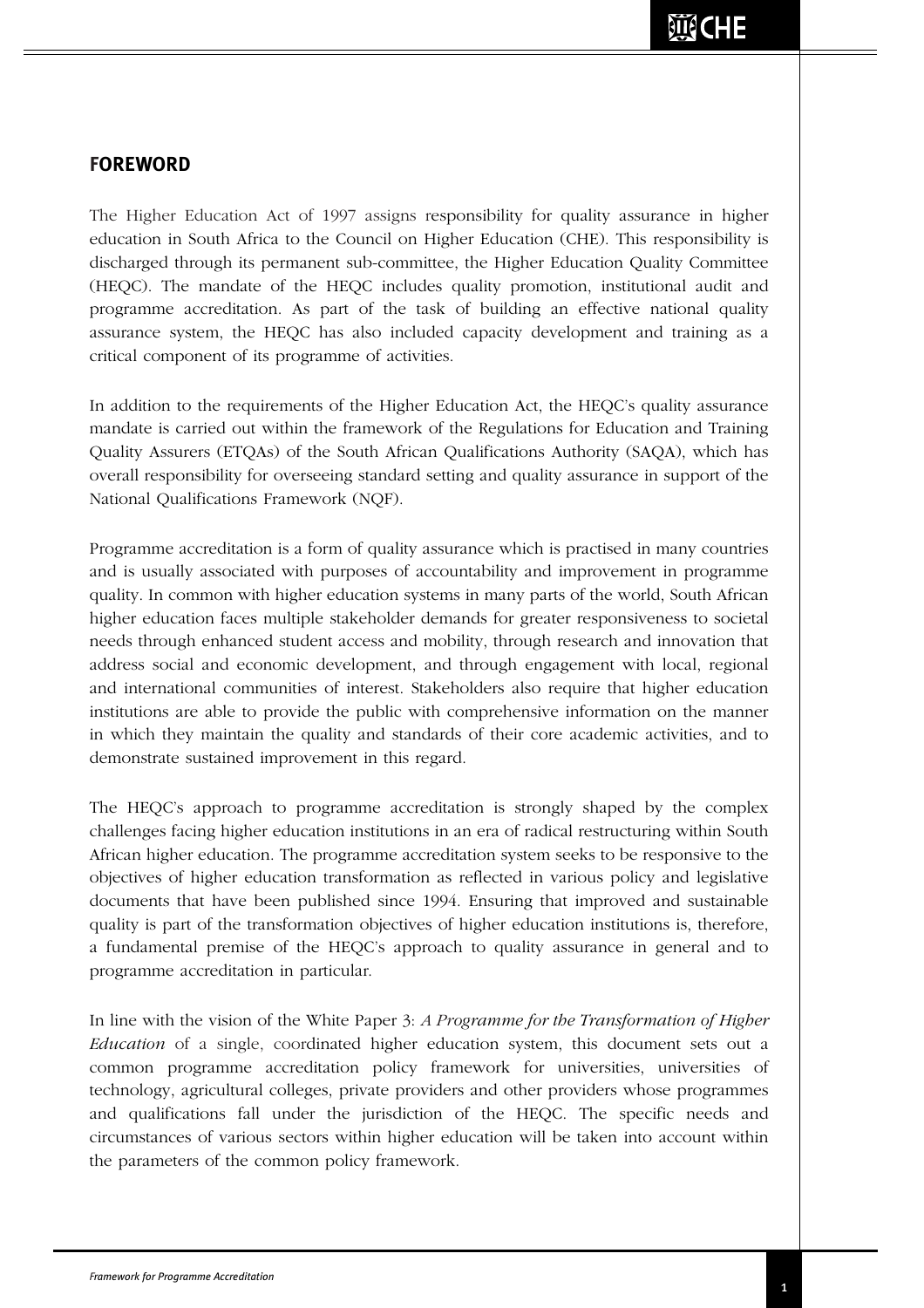## **FOREWORD**

The Higher Education Act of 1997 assigns responsibility for quality assurance in higher education in South Africa to the Council on Higher Education (CHE). This responsibility is discharged through its permanent sub-committee, the Higher Education Quality Committee (HEQC). The mandate of the HEQC includes quality promotion, institutional audit and programme accreditation. As part of the task of building an effective national quality assurance system, the HEQC has also included capacity development and training as a critical component of its programme of activities.

In addition to the requirements of the Higher Education Act, the HEQC's quality assurance mandate is carried out within the framework of the Regulations for Education and Training Quality Assurers (ETQAs) of the South African Qualifications Authority (SAQA), which has overall responsibility for overseeing standard setting and quality assurance in support of the National Qualifications Framework (NQF).

Programme accreditation is a form of quality assurance which is practised in many countries and is usually associated with purposes of accountability and improvement in programme quality. In common with higher education systems in many parts of the world, South African higher education faces multiple stakeholder demands for greater responsiveness to societal needs through enhanced student access and mobility, through research and innovation that address social and economic development, and through engagement with local, regional and international communities of interest. Stakeholders also require that higher education institutions are able to provide the public with comprehensive information on the manner in which they maintain the quality and standards of their core academic activities, and to demonstrate sustained improvement in this regard.

The HEQC's approach to programme accreditation is strongly shaped by the complex challenges facing higher education institutions in an era of radical restructuring within South African higher education. The programme accreditation system seeks to be responsive to the objectives of higher education transformation as reflected in various policy and legislative documents that have been published since 1994. Ensuring that improved and sustainable quality is part of the transformation objectives of higher education institutions is, therefore, a fundamental premise of the HEQC's approach to quality assurance in general and to programme accreditation in particular.

In line with the vision of the White Paper 3: *A Programme for the Transformation of Higher Education* of a single, coordinated higher education system, this document sets out a common programme accreditation policy framework for universities, universities of technology, agricultural colleges, private providers and other providers whose programmes and qualifications fall under the jurisdiction of the HEQC. The specific needs and circumstances of various sectors within higher education will be taken into account within the parameters of the common policy framework.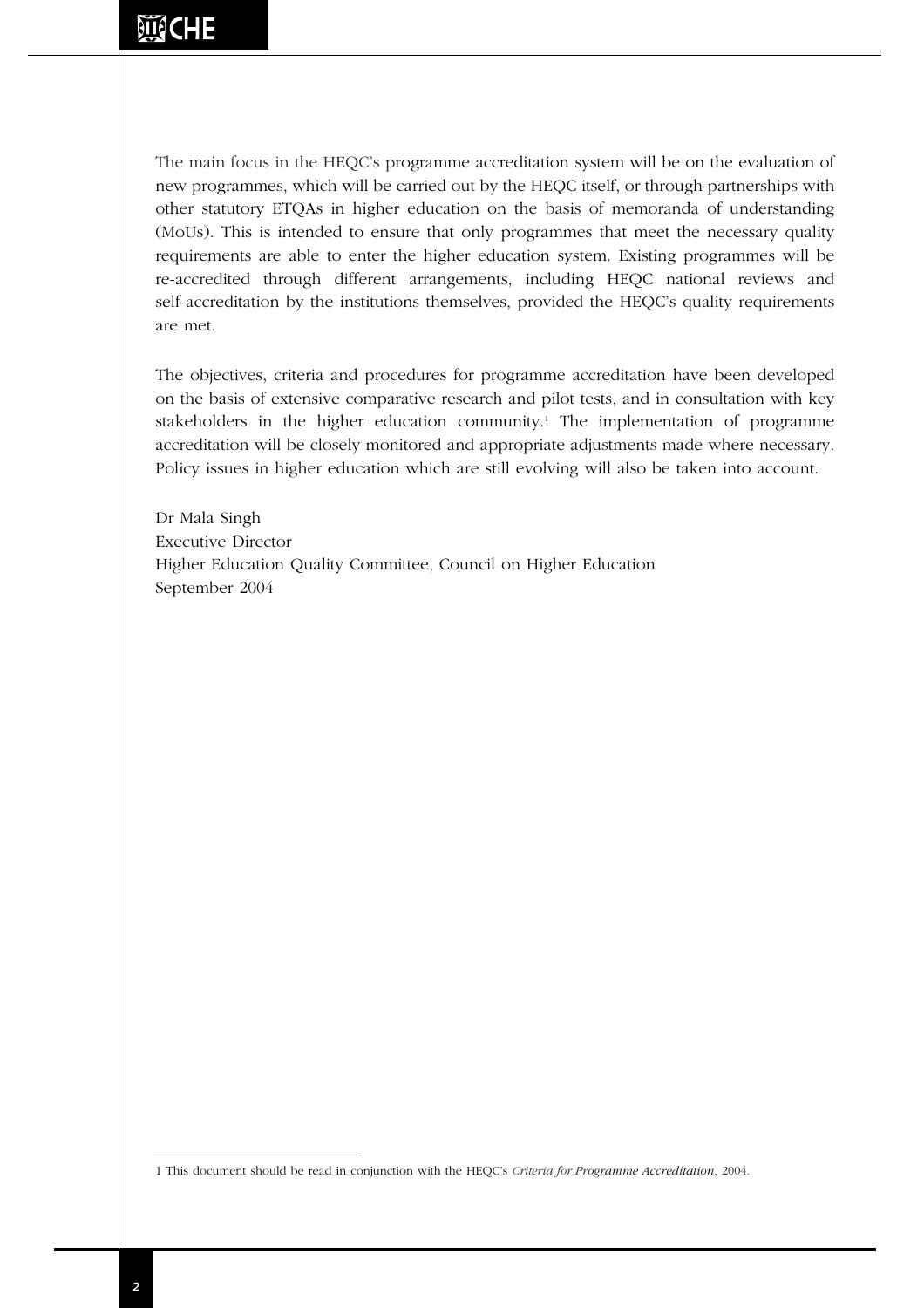The main focus in the HEQC's programme accreditation system will be on the evaluation of new programmes, which will be carried out by the HEQC itself, or through partnerships with other statutory ETQAs in higher education on the basis of memoranda of understanding (MoUs). This is intended to ensure that only programmes that meet the necessary quality requirements are able to enter the higher education system. Existing programmes will be re-accredited through different arrangements, including HEQC national reviews and self-accreditation by the institutions themselves, provided the HEQC's quality requirements are met.

The objectives, criteria and procedures for programme accreditation have been developed on the basis of extensive comparative research and pilot tests, and in consultation with key stakeholders in the higher education community.<sup>1</sup> The implementation of programme accreditation will be closely monitored and appropriate adjustments made where necessary. Policy issues in higher education which are still evolving will also be taken into account.

Dr Mala Singh Executive Director Higher Education Quality Committee, Council on Higher Education September 2004

<sup>1</sup> This document should be read in conjunction with the HEQC's *Criteria for Programme Accreditation*, 2004.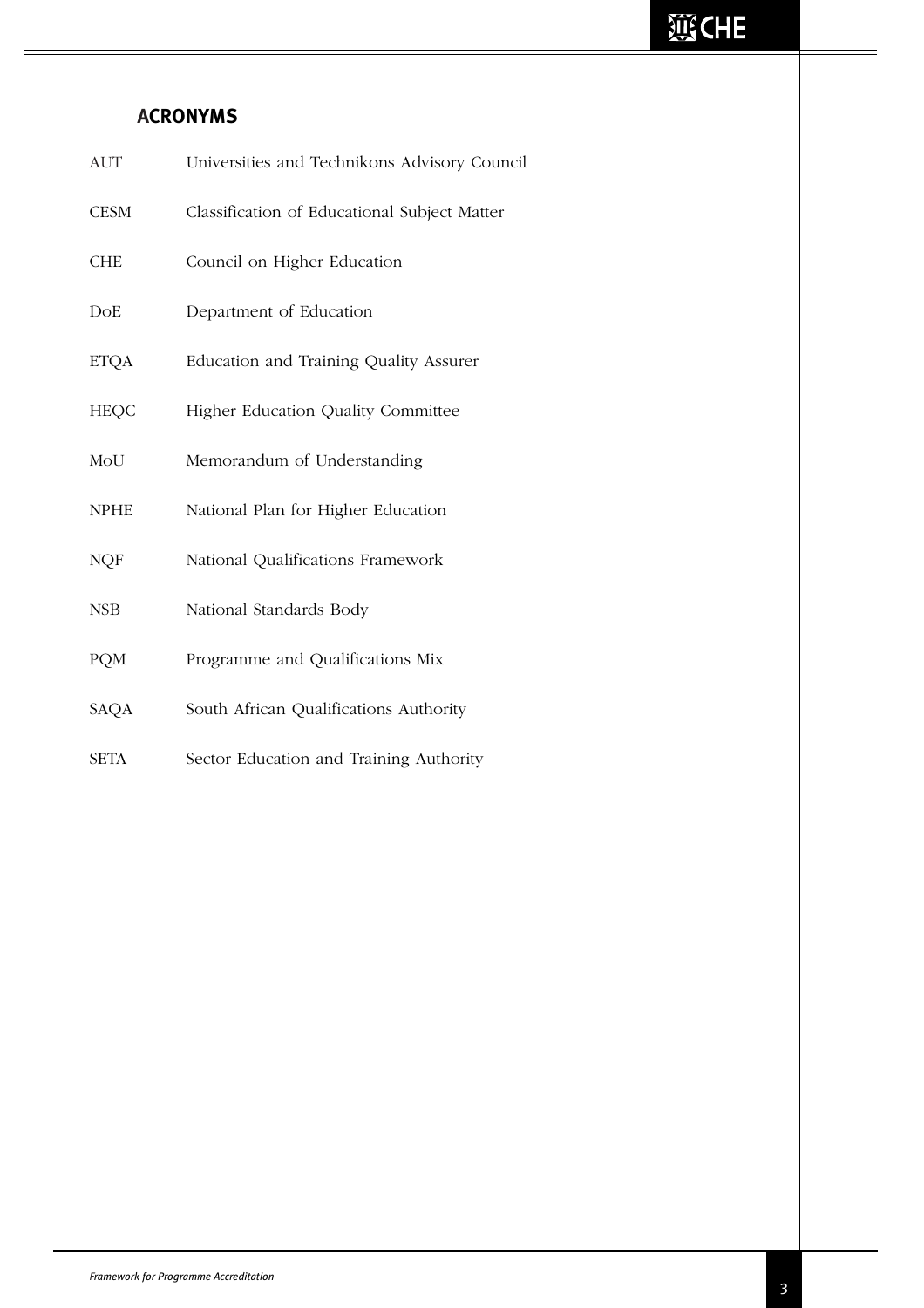# **ACRONYMS**

| <b>AUT</b>  | Universities and Technikons Advisory Council |
|-------------|----------------------------------------------|
| <b>CESM</b> | Classification of Educational Subject Matter |
| <b>CHE</b>  | Council on Higher Education                  |
| DoE         | Department of Education                      |
| <b>ETQA</b> | Education and Training Quality Assurer       |
| <b>HEQC</b> | Higher Education Quality Committee           |
| MoU         | Memorandum of Understanding                  |
| <b>NPHE</b> | National Plan for Higher Education           |
| <b>NQF</b>  | National Qualifications Framework            |
| <b>NSB</b>  | National Standards Body                      |
| <b>PQM</b>  | Programme and Qualifications Mix             |
| SAQA        | South African Qualifications Authority       |
| <b>SETA</b> | Sector Education and Training Authority      |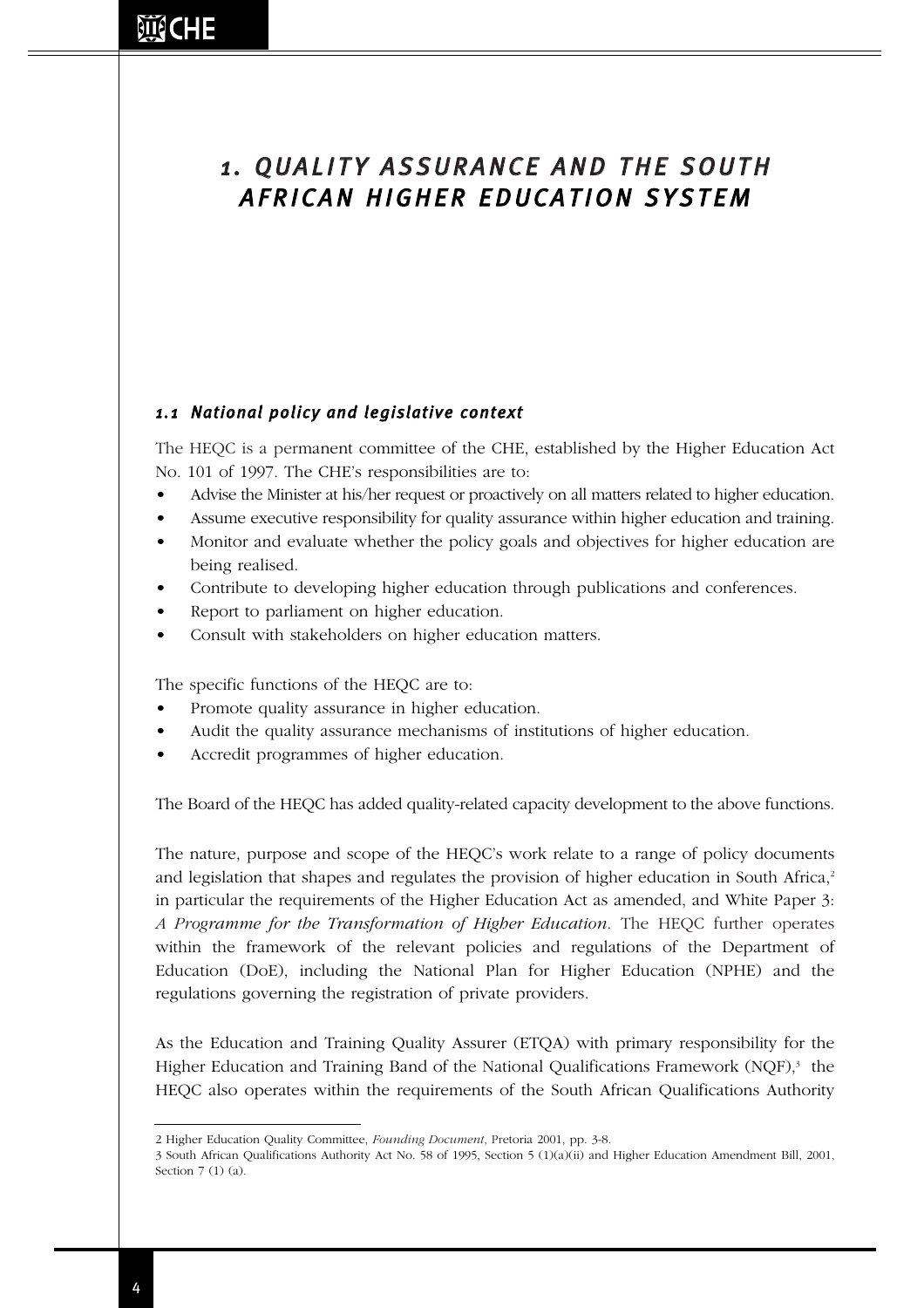# *1 . QUA L I T Y A S SUR ANC E AND THE SOUTH A F R I C AN HIGHE R EDUC A T ION S Y S T E M*

## *1 . 1 National policy and legislative context*

The HEQC is a permanent committee of the CHE, established by the Higher Education Act No. 101 of 1997. The CHE's responsibilities are to:

- Advise the Minister at his/her request or proactively on all matters related to higher education.
- Assume executive responsibility for quality assurance within higher education and training.
- Monitor and evaluate whether the policy goals and objectives for higher education are being realised.
- Contribute to developing higher education through publications and conferences.
- Report to parliament on higher education.
- Consult with stakeholders on higher education matters.

The specific functions of the HEQC are to:

- Promote quality assurance in higher education.
- Audit the quality assurance mechanisms of institutions of higher education.
- Accredit programmes of higher education.

The Board of the HEQC has added quality-related capacity development to the above functions.

The nature, purpose and scope of the HEQC's work relate to a range of policy documents and legislation that shapes and regulates the provision of higher education in South Africa,<sup>2</sup> in particular the requirements of the Higher Education Act as amended, and White Paper 3: *A Programme for the Transformation of Higher Education*. The HEQC further operates within the framework of the relevant policies and regulations of the Department of Education (DoE), including the National Plan for Higher Education (NPHE) and the regulations governing the registration of private providers.

As the Education and Training Quality Assurer (ETQA) with primary responsibility for the Higher Education and Training Band of the National Qualifications Framework  $(NQF)$ ,<sup>3</sup> the HEQC also operates within the requirements of the South African Qualifications Authority

<sup>2</sup> Higher Education Quality Committee, *Founding Document*, Pretoria 2001, pp. 3-8.

<sup>3</sup> South African Qualifications Authority Act No. 58 of 1995, Section 5 (1)(a)(ii) and Higher Education Amendment Bill, 2001, Section 7 (1) (a).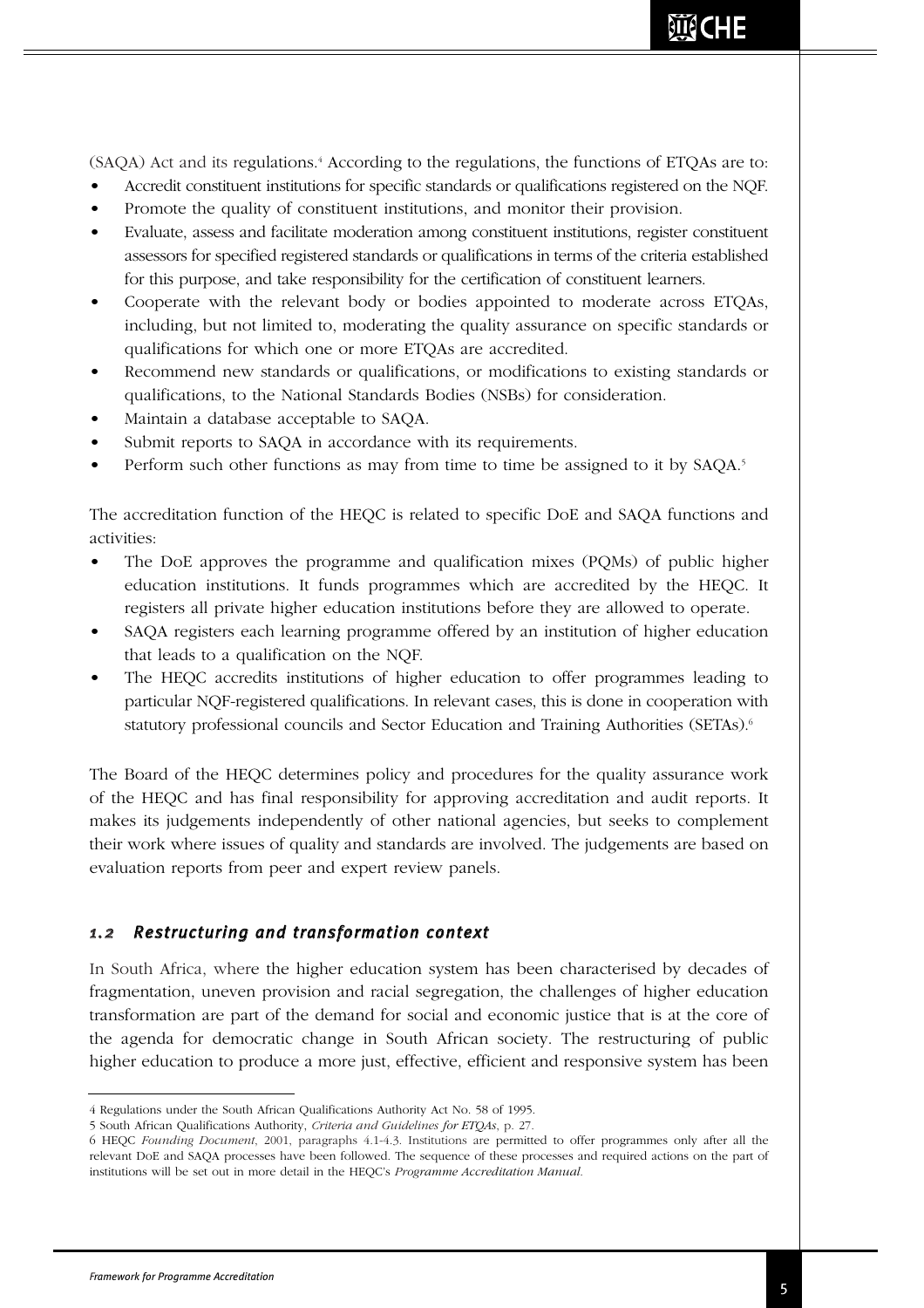(SAQA) Act and its regulations.4 According to the regulations, the functions of ETQAs are to:

- Accredit constituent institutions for specific standards or qualifications registered on the NQF.
- Promote the quality of constituent institutions, and monitor their provision.
- Evaluate, assess and facilitate moderation among constituent institutions, register constituent assessors for specified registered standards or qualifications in terms of the criteria established for this purpose, and take responsibility for the certification of constituent learners.
- Cooperate with the relevant body or bodies appointed to moderate across ETQAs, including, but not limited to, moderating the quality assurance on specific standards or qualifications for which one or more ETQAs are accredited.
- Recommend new standards or qualifications, or modifications to existing standards or qualifications, to the National Standards Bodies (NSBs) for consideration.
- Maintain a database acceptable to SAQA.
- Submit reports to SAQA in accordance with its requirements.
- Perform such other functions as may from time to time be assigned to it by SAQA.5

The accreditation function of the HEQC is related to specific DoE and SAQA functions and activities:

- The DoE approves the programme and qualification mixes (PQMs) of public higher education institutions. It funds programmes which are accredited by the HEQC. It registers all private higher education institutions before they are allowed to operate.
- SAQA registers each learning programme offered by an institution of higher education that leads to a qualification on the NQF.
- The HEQC accredits institutions of higher education to offer programmes leading to particular NQF-registered qualifications. In relevant cases, this is done in cooperation with statutory professional councils and Sector Education and Training Authorities (SETAs).<sup>6</sup>

The Board of the HEQC determines policy and procedures for the quality assurance work of the HEQC and has final responsibility for approving accreditation and audit reports. It makes its judgements independently of other national agencies, but seeks to complement their work where issues of quality and standards are involved. The judgements are based on evaluation reports from peer and expert review panels.

## *1 .2 Restructuring and transformation context*

In South Africa, where the higher education system has been characterised by decades of fragmentation, uneven provision and racial segregation, the challenges of higher education transformation are part of the demand for social and economic justice that is at the core of the agenda for democratic change in South African society. The restructuring of public higher education to produce a more just, effective, efficient and responsive system has been

<sup>4</sup> Regulations under the South African Qualifications Authority Act No. 58 of 1995.

<sup>5</sup> South African Qualifications Authority, *Criteria and Guidelines for ETQAs*, p. 27.

<sup>6</sup> HEQC *Founding Document*, 2001, paragraphs 4.1-4.3. Institutions are permitted to offer programmes only after all the relevant DoE and SAQA processes have been followed. The sequence of these processes and required actions on the part of institutions will be set out in more detail in the HEQC's *Programme Accreditation Manual*.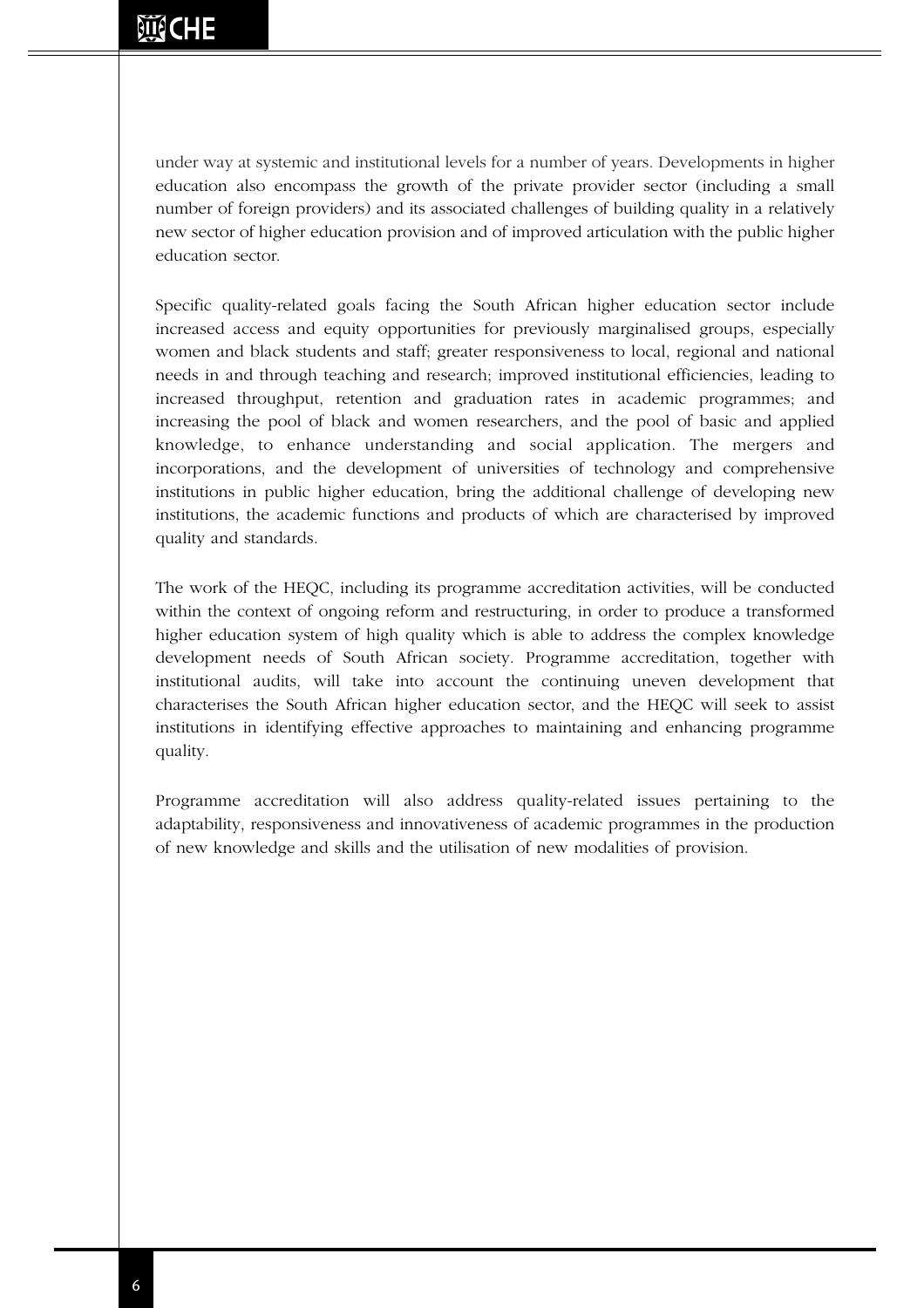under way at systemic and institutional levels for a number of years. Developments in higher education also encompass the growth of the private provider sector (including a small number of foreign providers) and its associated challenges of building quality in a relatively new sector of higher education provision and of improved articulation with the public higher education sector.

Specific quality-related goals facing the South African higher education sector include increased access and equity opportunities for previously marginalised groups, especially women and black students and staff; greater responsiveness to local, regional and national needs in and through teaching and research; improved institutional efficiencies, leading to increased throughput, retention and graduation rates in academic programmes; and increasing the pool of black and women researchers, and the pool of basic and applied knowledge, to enhance understanding and social application. The mergers and incorporations, and the development of universities of technology and comprehensive institutions in public higher education, bring the additional challenge of developing new institutions, the academic functions and products of which are characterised by improved quality and standards.

The work of the HEQC, including its programme accreditation activities, will be conducted within the context of ongoing reform and restructuring, in order to produce a transformed higher education system of high quality which is able to address the complex knowledge development needs of South African society. Programme accreditation, together with institutional audits, will take into account the continuing uneven development that characterises the South African higher education sector, and the HEQC will seek to assist institutions in identifying effective approaches to maintaining and enhancing programme quality.

Programme accreditation will also address quality-related issues pertaining to the adaptability, responsiveness and innovativeness of academic programmes in the production of new knowledge and skills and the utilisation of new modalities of provision.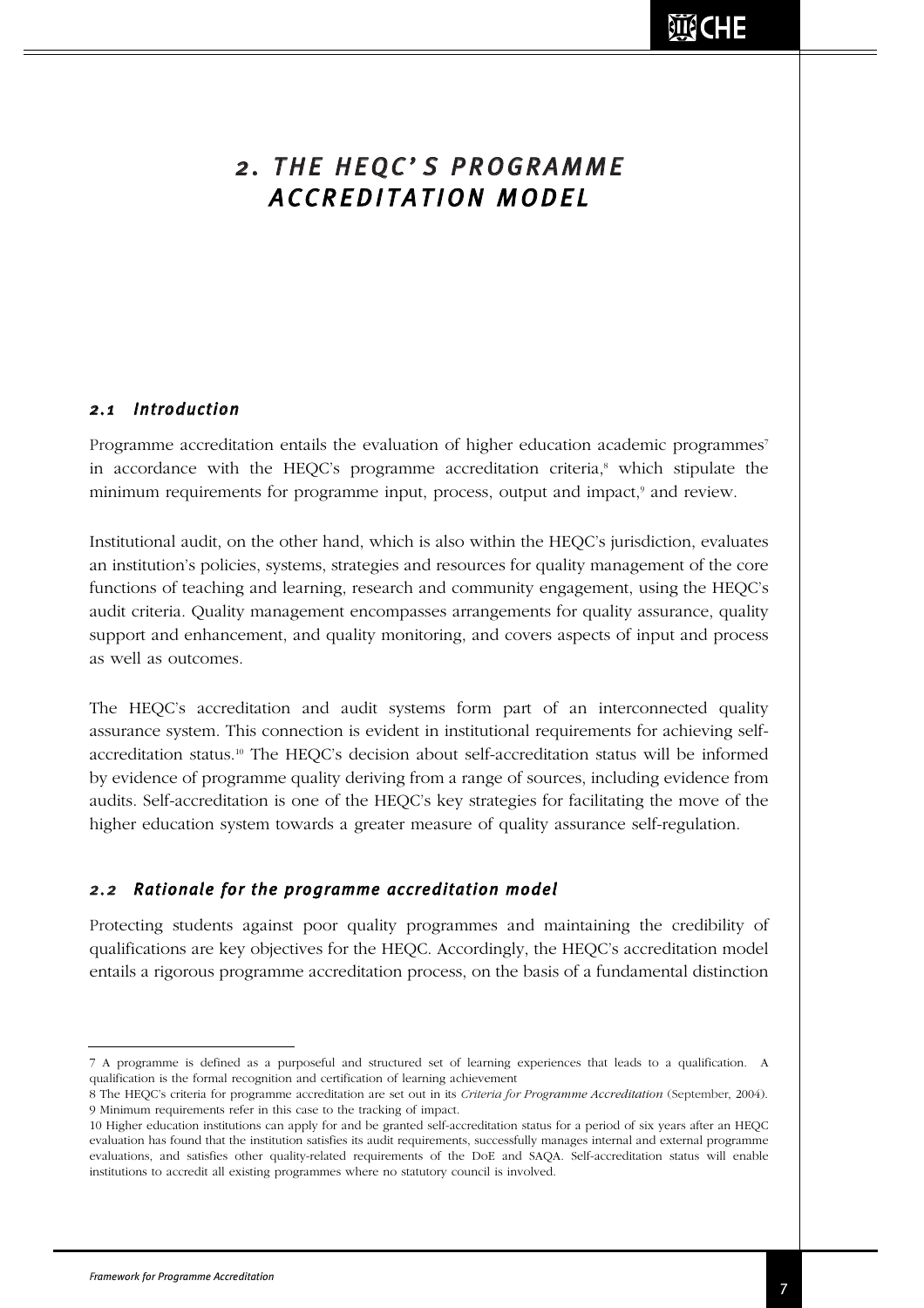# *2 . THE HEQC ' S P ROGR A M M E A C C R EDI T A T ION M ODE L*

#### *2. 1 Introduction*

Programme accreditation entails the evaluation of higher education academic programmes<sup>7</sup> in accordance with the HEQC's programme accreditation criteria,8 which stipulate the minimum requirements for programme input, process, output and impact,<sup>9</sup> and review.

Institutional audit, on the other hand, which is also within the HEQC's jurisdiction, evaluates an institution's policies, systems, strategies and resources for quality management of the core functions of teaching and learning, research and community engagement, using the HEQC's audit criteria. Quality management encompasses arrangements for quality assurance, quality support and enhancement, and quality monitoring, and covers aspects of input and process as well as outcomes.

The HEQC's accreditation and audit systems form part of an interconnected quality assurance system. This connection is evident in institutional requirements for achieving selfaccreditation status.10 The HEQC's decision about self-accreditation status will be informed by evidence of programme quality deriving from a range of sources, including evidence from audits. Self-accreditation is one of the HEQC's key strategies for facilitating the move of the higher education system towards a greater measure of quality assurance self-regulation.

## *2.2 Rationale for the programme accreditation model*

Protecting students against poor quality programmes and maintaining the credibility of qualifications are key objectives for the HEQC. Accordingly, the HEQC's accreditation model entails a rigorous programme accreditation process, on the basis of a fundamental distinction

<sup>7</sup> A programme is defined as a purposeful and structured set of learning experiences that leads to a qualification. A qualification is the formal recognition and certification of learning achievement

<sup>8</sup> The HEQC's criteria for programme accreditation are set out in its *Criteria for Programme Accreditation* (September, 2004). 9 Minimum requirements refer in this case to the tracking of impact.

<sup>10</sup> Higher education institutions can apply for and be granted self-accreditation status for a period of six years after an HEQC evaluation has found that the institution satisfies its audit requirements, successfully manages internal and external programme evaluations, and satisfies other quality-related requirements of the DoE and SAQA. Self-accreditation status will enable institutions to accredit all existing programmes where no statutory council is involved.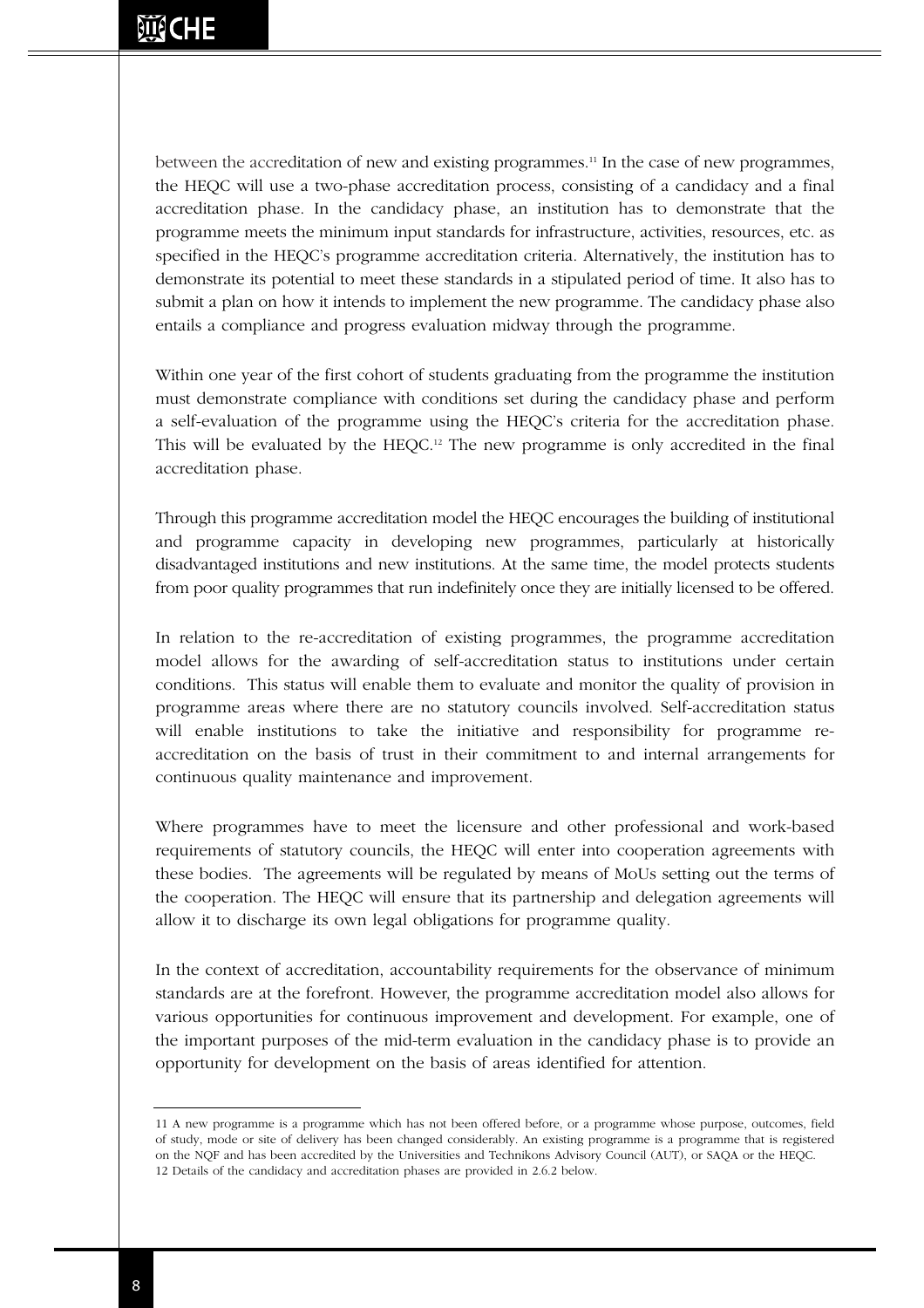between the accreditation of new and existing programmes.<sup>11</sup> In the case of new programmes, the HEQC will use a two-phase accreditation process, consisting of a candidacy and a final accreditation phase. In the candidacy phase, an institution has to demonstrate that the programme meets the minimum input standards for infrastructure, activities, resources, etc. as specified in the HEQC's programme accreditation criteria. Alternatively, the institution has to demonstrate its potential to meet these standards in a stipulated period of time. It also has to submit a plan on how it intends to implement the new programme. The candidacy phase also entails a compliance and progress evaluation midway through the programme.

Within one year of the first cohort of students graduating from the programme the institution must demonstrate compliance with conditions set during the candidacy phase and perform a self-evaluation of the programme using the HEQC's criteria for the accreditation phase. This will be evaluated by the HEQC.<sup>12</sup> The new programme is only accredited in the final accreditation phase.

Through this programme accreditation model the HEQC encourages the building of institutional and programme capacity in developing new programmes, particularly at historically disadvantaged institutions and new institutions. At the same time, the model protects students from poor quality programmes that run indefinitely once they are initially licensed to be offered.

In relation to the re-accreditation of existing programmes, the programme accreditation model allows for the awarding of self-accreditation status to institutions under certain conditions. This status will enable them to evaluate and monitor the quality of provision in programme areas where there are no statutory councils involved. Self-accreditation status will enable institutions to take the initiative and responsibility for programme reaccreditation on the basis of trust in their commitment to and internal arrangements for continuous quality maintenance and improvement.

Where programmes have to meet the licensure and other professional and work-based requirements of statutory councils, the HEQC will enter into cooperation agreements with these bodies. The agreements will be regulated by means of MoUs setting out the terms of the cooperation. The HEQC will ensure that its partnership and delegation agreements will allow it to discharge its own legal obligations for programme quality.

In the context of accreditation, accountability requirements for the observance of minimum standards are at the forefront. However, the programme accreditation model also allows for various opportunities for continuous improvement and development. For example, one of the important purposes of the mid-term evaluation in the candidacy phase is to provide an opportunity for development on the basis of areas identified for attention.

<sup>11</sup> A new programme is a programme which has not been offered before, or a programme whose purpose, outcomes, field of study, mode or site of delivery has been changed considerably. An existing programme is a programme that is registered on the NQF and has been accredited by the Universities and Technikons Advisory Council (AUT), or SAQA or the HEQC. 12 Details of the candidacy and accreditation phases are provided in 2.6.2 below.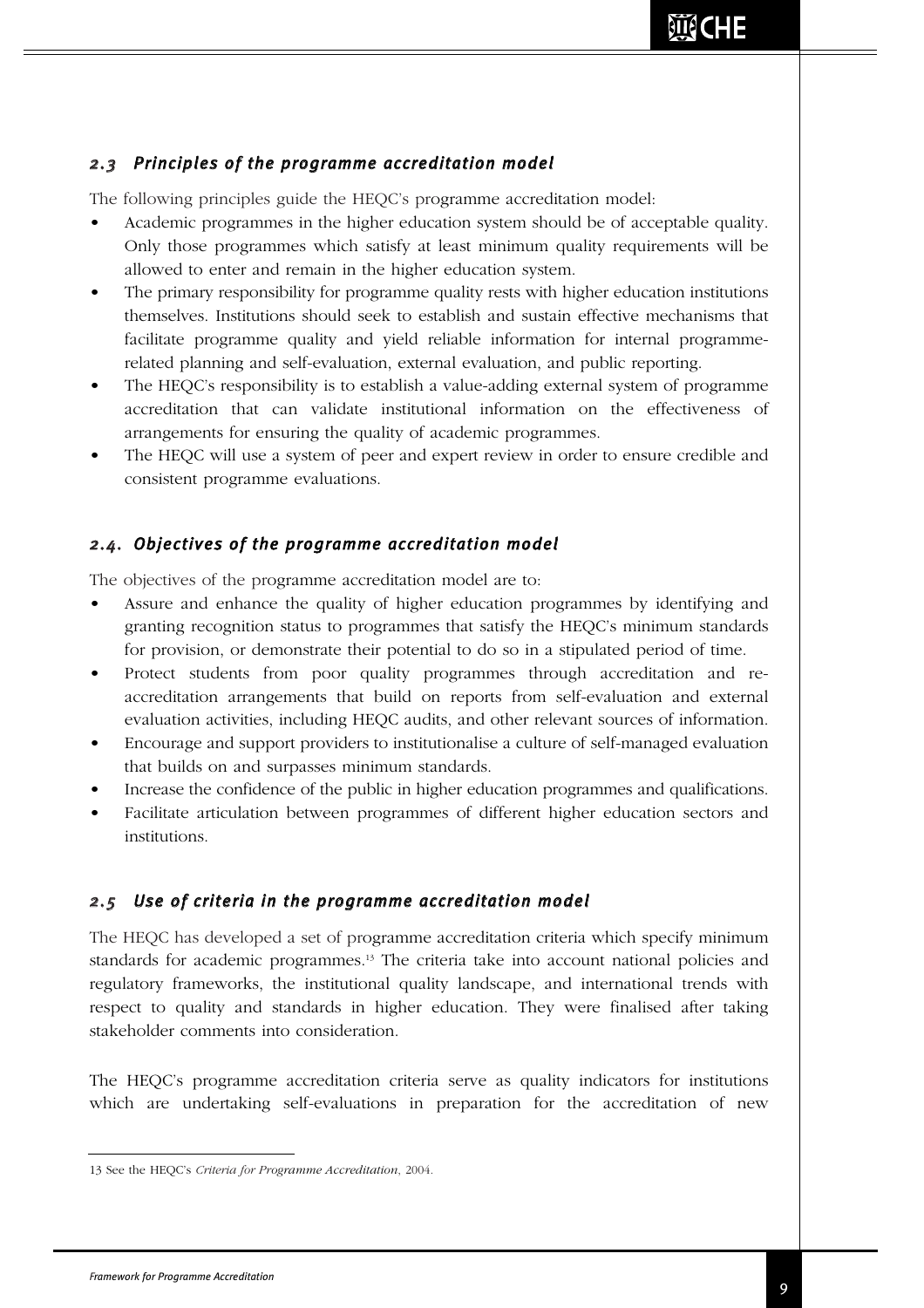## *2.3 Principles of the programme accreditation model*

The following principles guide the HEQC's programme accreditation model:

- Academic programmes in the higher education system should be of acceptable quality. Only those programmes which satisfy at least minimum quality requirements will be allowed to enter and remain in the higher education system.
- The primary responsibility for programme quality rests with higher education institutions themselves. Institutions should seek to establish and sustain effective mechanisms that facilitate programme quality and yield reliable information for internal programmerelated planning and self-evaluation, external evaluation, and public reporting.
- The HEQC's responsibility is to establish a value-adding external system of programme accreditation that can validate institutional information on the effectiveness of arrangements for ensuring the quality of academic programmes.
- The HEQC will use a system of peer and expert review in order to ensure credible and consistent programme evaluations.

## *2.4. Objectives of the programme accreditation model*

The objectives of the programme accreditation model are to:

- Assure and enhance the quality of higher education programmes by identifying and granting recognition status to programmes that satisfy the HEQC's minimum standards for provision, or demonstrate their potential to do so in a stipulated period of time.
- Protect students from poor quality programmes through accreditation and reaccreditation arrangements that build on reports from self-evaluation and external evaluation activities, including HEQC audits, and other relevant sources of information.
- Encourage and support providers to institutionalise a culture of self-managed evaluation that builds on and surpasses minimum standards.
- Increase the confidence of the public in higher education programmes and qualifications.
- Facilitate articulation between programmes of different higher education sectors and institutions.

## *2.5 Use of criteria in the programme accreditation model*

The HEQC has developed a set of programme accreditation criteria which specify minimum standards for academic programmes.<sup>13</sup> The criteria take into account national policies and regulatory frameworks, the institutional quality landscape, and international trends with respect to quality and standards in higher education. They were finalised after taking stakeholder comments into consideration.

The HEQC's programme accreditation criteria serve as quality indicators for institutions which are undertaking self-evaluations in preparation for the accreditation of new

<sup>13</sup> See the HEQC's *Criteria for Programme Accreditation*, 2004.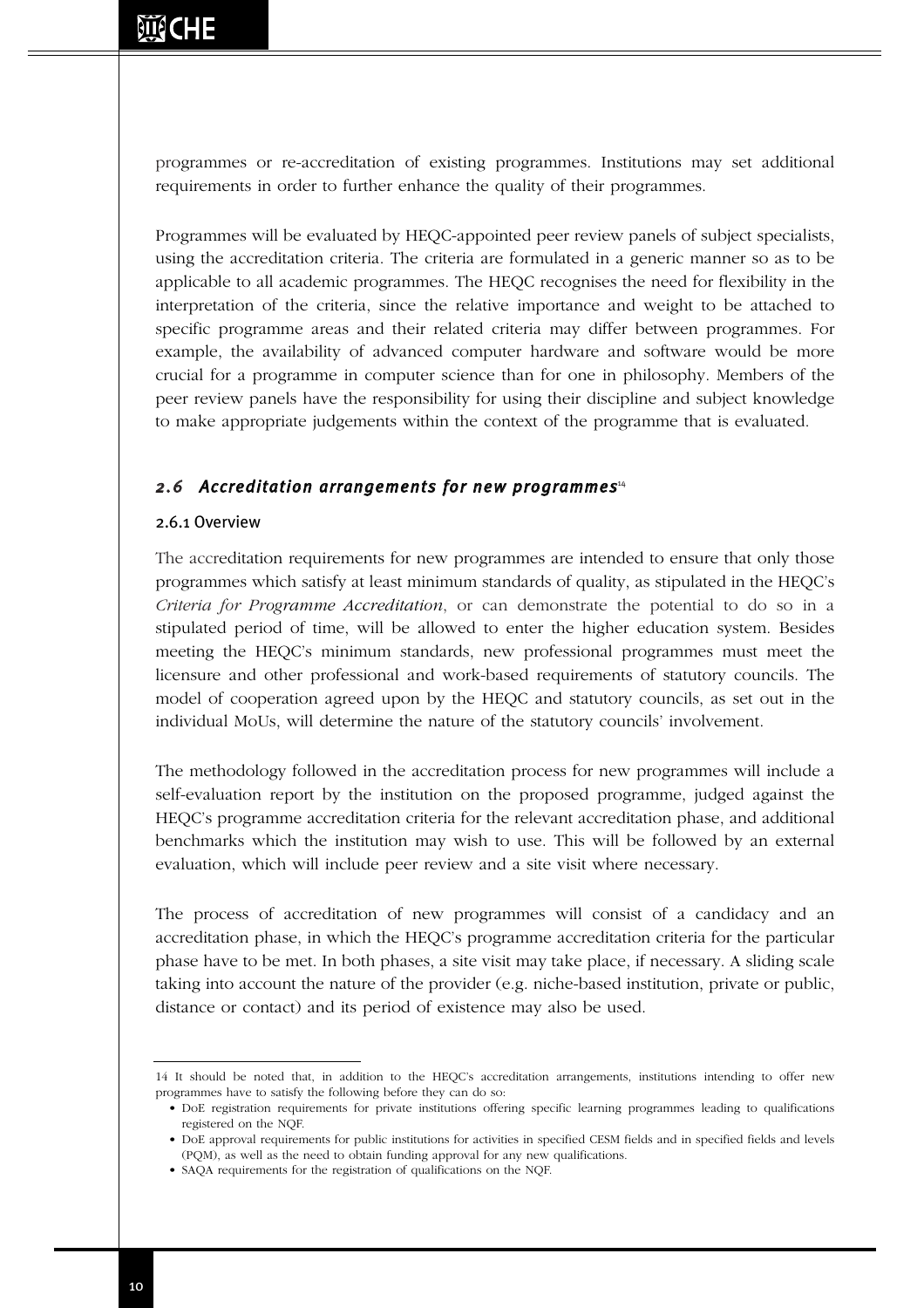programmes or re-accreditation of existing programmes. Institutions may set additional requirements in order to further enhance the quality of their programmes.

Programmes will be evaluated by HEQC-appointed peer review panels of subject specialists, using the accreditation criteria. The criteria are formulated in a generic manner so as to be applicable to all academic programmes. The HEQC recognises the need for flexibility in the interpretation of the criteria, since the relative importance and weight to be attached to specific programme areas and their related criteria may differ between programmes. For example, the availability of advanced computer hardware and software would be more crucial for a programme in computer science than for one in philosophy. Members of the peer review panels have the responsibility for using their discipline and subject knowledge to make appropriate judgements within the context of the programme that is evaluated.

#### *2.6 Accreditation arrangements for new programmes*<sup>14</sup>

#### 2.6.1 Overview

The accreditation requirements for new programmes are intended to ensure that only those programmes which satisfy at least minimum standards of quality, as stipulated in the HEQC's *Criteria for Programme Accreditation*, or can demonstrate the potential to do so in a stipulated period of time, will be allowed to enter the higher education system. Besides meeting the HEQC's minimum standards, new professional programmes must meet the licensure and other professional and work-based requirements of statutory councils. The model of cooperation agreed upon by the HEQC and statutory councils, as set out in the individual MoUs, will determine the nature of the statutory councils' involvement.

The methodology followed in the accreditation process for new programmes will include a self-evaluation report by the institution on the proposed programme, judged against the HEQC's programme accreditation criteria for the relevant accreditation phase, and additional benchmarks which the institution may wish to use. This will be followed by an external evaluation, which will include peer review and a site visit where necessary.

The process of accreditation of new programmes will consist of a candidacy and an accreditation phase, in which the HEQC's programme accreditation criteria for the particular phase have to be met. In both phases, a site visit may take place, if necessary. A sliding scale taking into account the nature of the provider (e.g. niche-based institution, private or public, distance or contact) and its period of existence may also be used.

<sup>14</sup> It should be noted that, in addition to the HEQC's accreditation arrangements, institutions intending to offer new programmes have to satisfy the following before they can do so:

<sup>•</sup> DoE registration requirements for private institutions offering specific learning programmes leading to qualifications registered on the NQF.

<sup>•</sup> DoE approval requirements for public institutions for activities in specified CESM fields and in specified fields and levels (PQM), as well as the need to obtain funding approval for any new qualifications.

<sup>•</sup> SAQA requirements for the registration of qualifications on the NQF.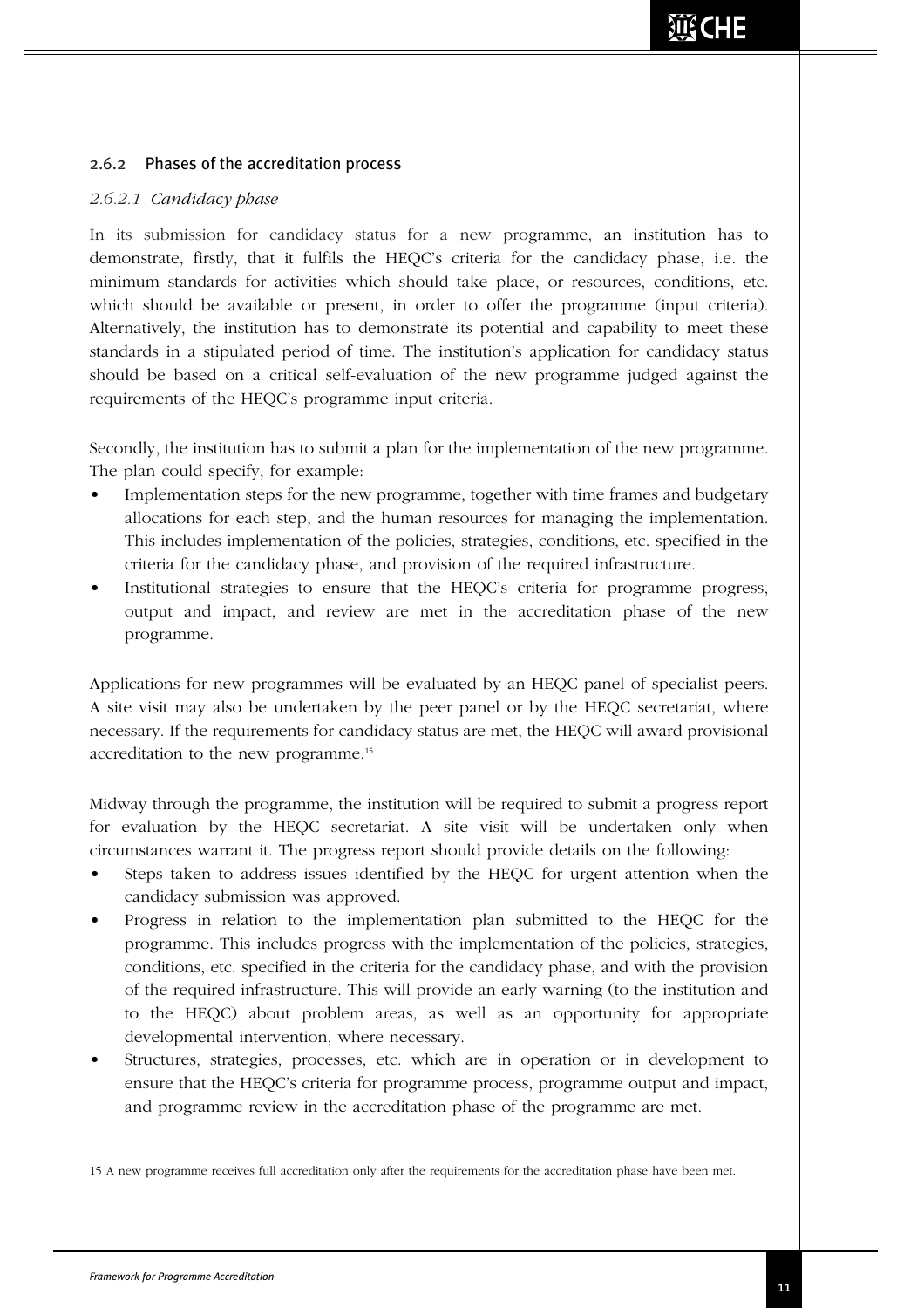#### 2.6.2 Phases of the accreditation process

#### *2.6.2.1 Candidacy phase*

In its submission for candidacy status for a new programme, an institution has to demonstrate, firstly, that it fulfils the HEQC's criteria for the candidacy phase, i.e. the minimum standards for activities which should take place, or resources, conditions, etc. which should be available or present, in order to offer the programme (input criteria). Alternatively, the institution has to demonstrate its potential and capability to meet these standards in a stipulated period of time. The institution's application for candidacy status should be based on a critical self-evaluation of the new programme judged against the requirements of the HEQC's programme input criteria.

Secondly, the institution has to submit a plan for the implementation of the new programme. The plan could specify, for example:

- Implementation steps for the new programme, together with time frames and budgetary allocations for each step, and the human resources for managing the implementation. This includes implementation of the policies, strategies, conditions, etc. specified in the criteria for the candidacy phase, and provision of the required infrastructure.
- Institutional strategies to ensure that the HEOC's criteria for programme progress, output and impact, and review are met in the accreditation phase of the new programme.

Applications for new programmes will be evaluated by an HEQC panel of specialist peers. A site visit may also be undertaken by the peer panel or by the HEQC secretariat, where necessary. If the requirements for candidacy status are met, the HEQC will award provisional accreditation to the new programme.15

Midway through the programme, the institution will be required to submit a progress report for evaluation by the HEQC secretariat. A site visit will be undertaken only when circumstances warrant it. The progress report should provide details on the following:

- Steps taken to address issues identified by the HEQC for urgent attention when the candidacy submission was approved.
- Progress in relation to the implementation plan submitted to the HEQC for the programme. This includes progress with the implementation of the policies, strategies, conditions, etc. specified in the criteria for the candidacy phase, and with the provision of the required infrastructure. This will provide an early warning (to the institution and to the HEQC) about problem areas, as well as an opportunity for appropriate developmental intervention, where necessary.
- Structures, strategies, processes, etc. which are in operation or in development to ensure that the HEQC's criteria for programme process, programme output and impact, and programme review in the accreditation phase of the programme are met.

<sup>15</sup> A new programme receives full accreditation only after the requirements for the accreditation phase have been met.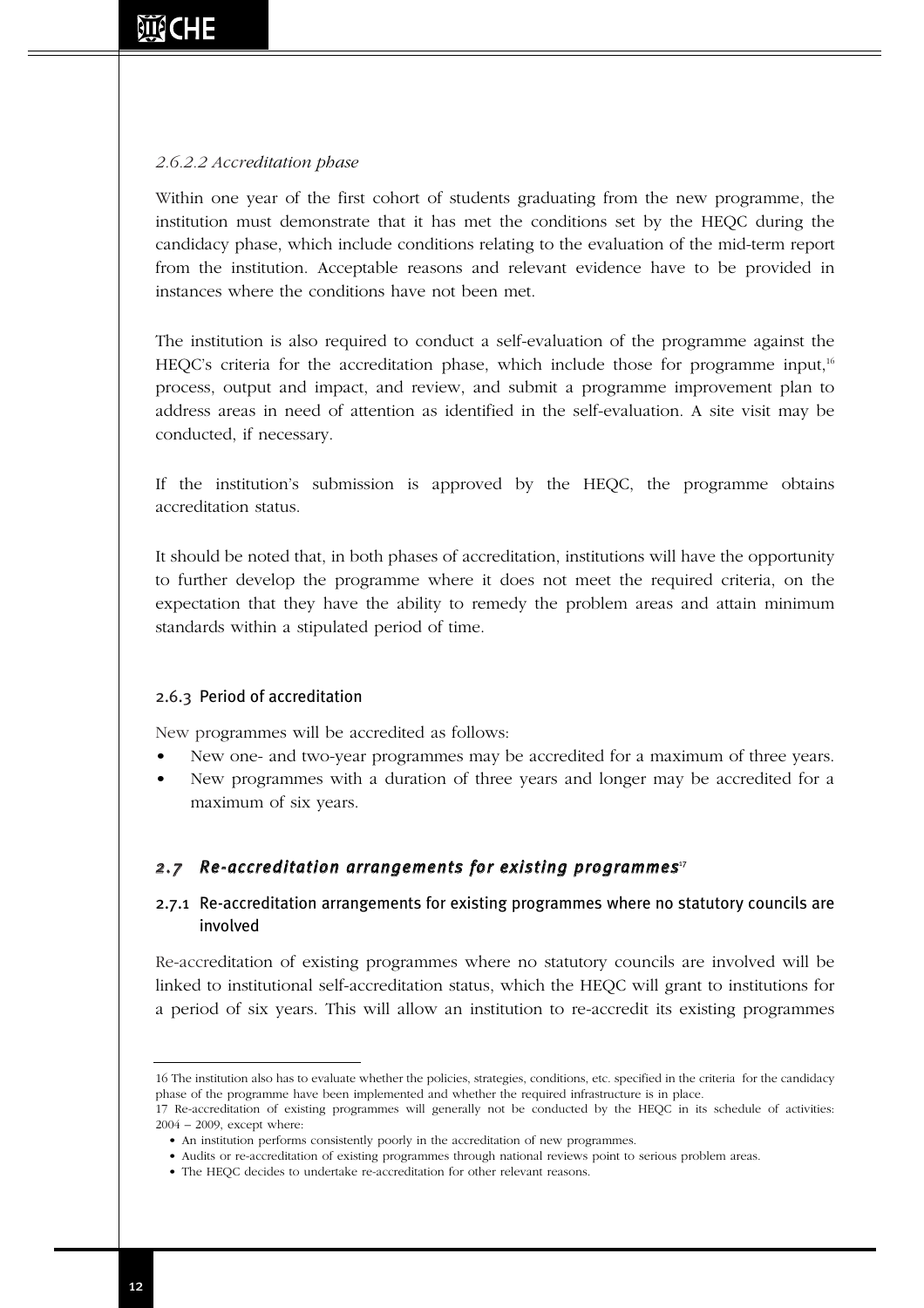#### *2.6.2.2 Accreditation phase*

Within one year of the first cohort of students graduating from the new programme, the institution must demonstrate that it has met the conditions set by the HEQC during the candidacy phase, which include conditions relating to the evaluation of the mid-term report from the institution. Acceptable reasons and relevant evidence have to be provided in instances where the conditions have not been met.

The institution is also required to conduct a self-evaluation of the programme against the HEQC's criteria for the accreditation phase, which include those for programme input,<sup>16</sup> process, output and impact, and review, and submit a programme improvement plan to address areas in need of attention as identified in the self-evaluation. A site visit may be conducted, if necessary.

If the institution's submission is approved by the HEQC, the programme obtains accreditation status.

It should be noted that, in both phases of accreditation, institutions will have the opportunity to further develop the programme where it does not meet the required criteria, on the expectation that they have the ability to remedy the problem areas and attain minimum standards within a stipulated period of time.

#### 2.6.3 Period of accreditation

New programmes will be accredited as follows:

- New one- and two-year programmes may be accredited for a maximum of three years.
- New programmes with a duration of three years and longer may be accredited for a maximum of six years.

## 2.7 Re-accreditation arrangements for existing programmes<sup>17</sup>

## 2.7.1 Re-accreditation arrangements for existing programmes where no statutory councils are involved

Re-accreditation of existing programmes where no statutory councils are involved will be linked to institutional self-accreditation status, which the HEQC will grant to institutions for a period of six years. This will allow an institution to re-accredit its existing programmes

<sup>16</sup> The institution also has to evaluate whether the policies, strategies, conditions, etc. specified in the criteria for the candidacy phase of the programme have been implemented and whether the required infrastructure is in place.

<sup>17</sup> Re-accreditation of existing programmes will generally not be conducted by the HEQC in its schedule of activities: 2004 – 2009, except where:

<sup>•</sup> An institution performs consistently poorly in the accreditation of new programmes.

<sup>•</sup> Audits or re-accreditation of existing programmes through national reviews point to serious problem areas.

<sup>•</sup> The HEQC decides to undertake re-accreditation for other relevant reasons.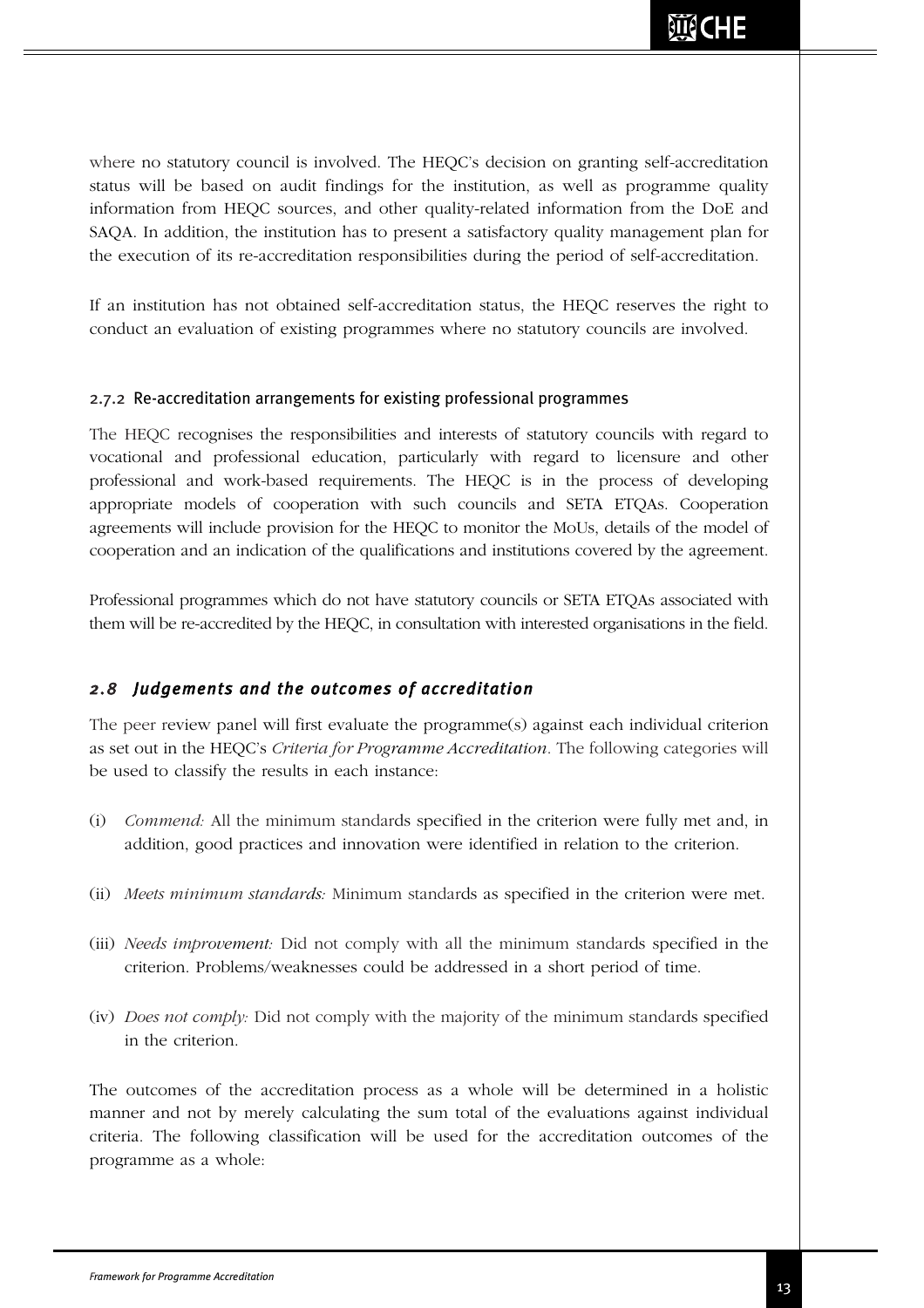where no statutory council is involved. The HEQC's decision on granting self-accreditation status will be based on audit findings for the institution, as well as programme quality information from HEQC sources, and other quality-related information from the DoE and SAQA. In addition, the institution has to present a satisfactory quality management plan for the execution of its re-accreditation responsibilities during the period of self-accreditation.

If an institution has not obtained self-accreditation status, the HEQC reserves the right to conduct an evaluation of existing programmes where no statutory councils are involved.

#### 2.7.2 Re-accreditation arrangements for existing professional programmes

The HEQC recognises the responsibilities and interests of statutory councils with regard to vocational and professional education, particularly with regard to licensure and other professional and work-based requirements. The HEQC is in the process of developing appropriate models of cooperation with such councils and SETA ETQAs. Cooperation agreements will include provision for the HEQC to monitor the MoUs, details of the model of cooperation and an indication of the qualifications and institutions covered by the agreement.

Professional programmes which do not have statutory councils or SETA ETQAs associated with them will be re-accredited by the HEQC, in consultation with interested organisations in the field.

## *2.8 Judgements and the outcomes of accreditation*

The peer review panel will first evaluate the programme(s) against each individual criterion as set out in the HEQC's *Criteria for Programme Accreditation*. The following categories will be used to classify the results in each instance:

- (i) *Commend:* All the minimum standards specified in the criterion were fully met and, in addition, good practices and innovation were identified in relation to the criterion.
- (ii) *Meets minimum standards:* Minimum standards as specified in the criterion were met.
- (iii) *Needs improvement:* Did not comply with all the minimum standards specified in the criterion. Problems/weaknesses could be addressed in a short period of time.
- (iv) *Does not comply:* Did not comply with the majority of the minimum standards specified in the criterion.

The outcomes of the accreditation process as a whole will be determined in a holistic manner and not by merely calculating the sum total of the evaluations against individual criteria. The following classification will be used for the accreditation outcomes of the programme as a whole: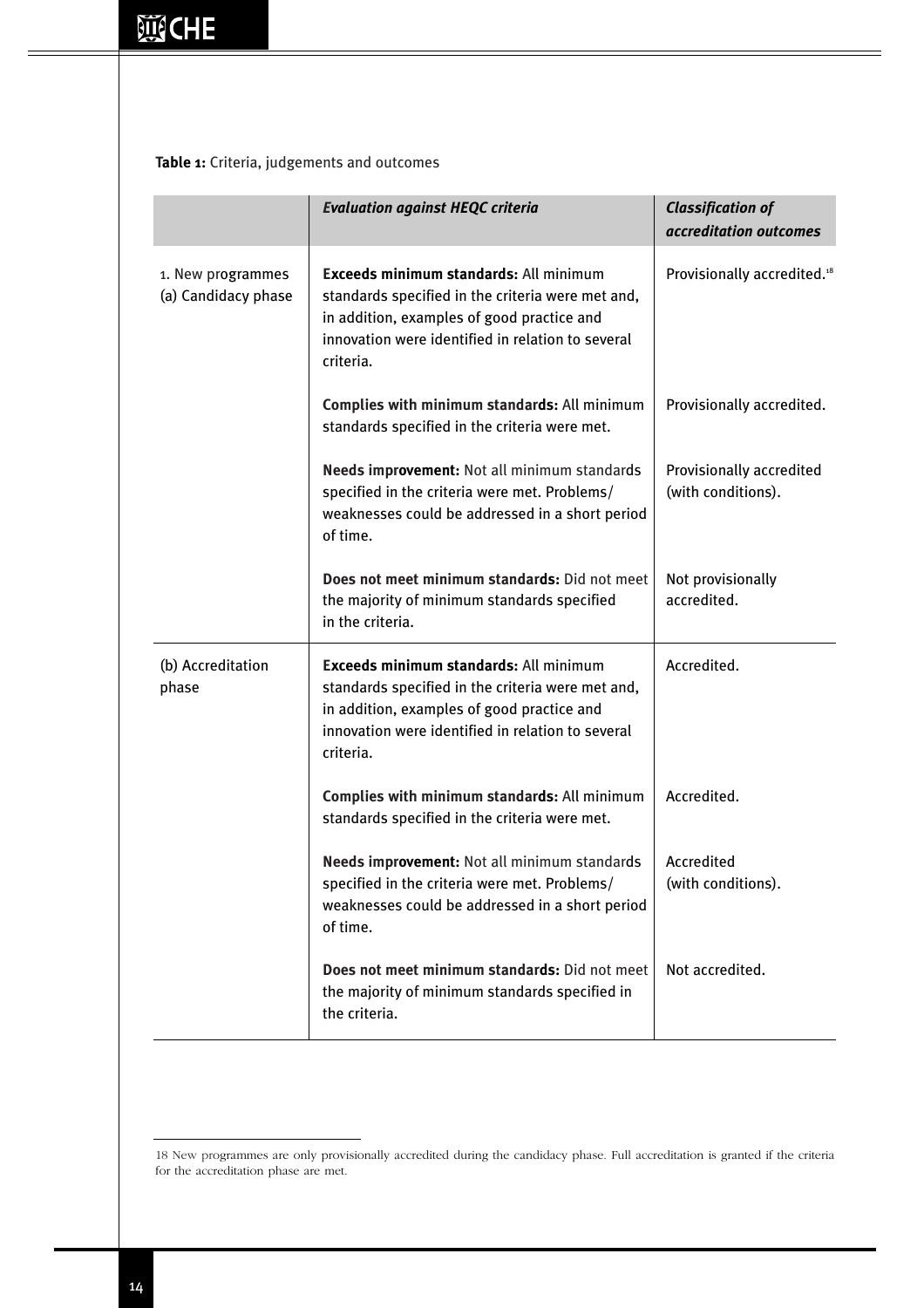#### **Table 1:** Criteria, judgements and outcomes

|                                          | <b>Evaluation against HEQC criteria</b>                                                                                                                                                                            | <b>Classification of</b><br>accreditation outcomes |
|------------------------------------------|--------------------------------------------------------------------------------------------------------------------------------------------------------------------------------------------------------------------|----------------------------------------------------|
| 1. New programmes<br>(a) Candidacy phase | <b>Exceeds minimum standards: All minimum</b><br>standards specified in the criteria were met and,<br>in addition, examples of good practice and<br>innovation were identified in relation to several<br>criteria. | Provisionally accredited. <sup>18</sup>            |
|                                          | Complies with minimum standards: All minimum<br>standards specified in the criteria were met.                                                                                                                      | Provisionally accredited.                          |
|                                          | Needs improvement: Not all minimum standards<br>specified in the criteria were met. Problems/<br>weaknesses could be addressed in a short period<br>of time.                                                       | Provisionally accredited<br>(with conditions).     |
|                                          | Does not meet minimum standards: Did not meet<br>the majority of minimum standards specified<br>in the criteria.                                                                                                   | Not provisionally<br>accredited.                   |
| (b) Accreditation<br>phase               | <b>Exceeds minimum standards: All minimum</b><br>standards specified in the criteria were met and,<br>in addition, examples of good practice and<br>innovation were identified in relation to several<br>criteria. | Accredited.                                        |
|                                          | Complies with minimum standards: All minimum<br>standards specified in the criteria were met.                                                                                                                      | Accredited.                                        |
|                                          | Needs improvement: Not all minimum standards<br>specified in the criteria were met. Problems/<br>weaknesses could be addressed in a short period<br>of time.                                                       | Accredited<br>(with conditions).                   |
|                                          | Does not meet minimum standards: Did not meet<br>the majority of minimum standards specified in<br>the criteria.                                                                                                   | Not accredited.                                    |

<sup>18</sup> New programmes are only provisionally accredited during the candidacy phase. Full accreditation is granted if the criteria for the accreditation phase are met.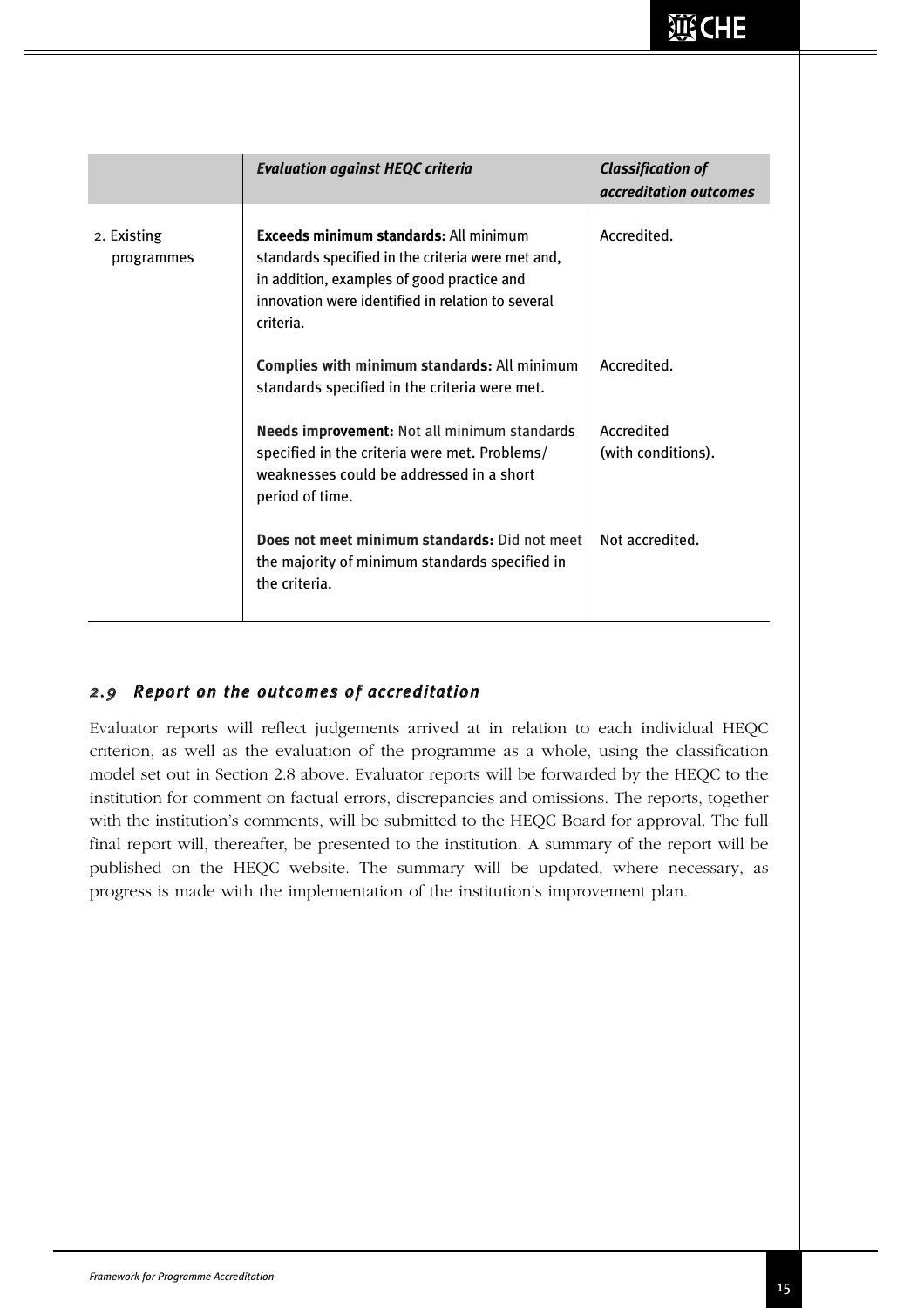|                           | <b>Evaluation against HEQC criteria</b>                                                                                                                                                                            | <b>Classification of</b><br>accreditation outcomes |
|---------------------------|--------------------------------------------------------------------------------------------------------------------------------------------------------------------------------------------------------------------|----------------------------------------------------|
| 2. Existing<br>programmes | <b>Exceeds minimum standards: All minimum</b><br>standards specified in the criteria were met and,<br>in addition, examples of good practice and<br>innovation were identified in relation to several<br>criteria. | Accredited.                                        |
|                           | Complies with minimum standards: All minimum<br>standards specified in the criteria were met.                                                                                                                      | Accredited.                                        |
|                           | Needs improvement: Not all minimum standards<br>specified in the criteria were met. Problems/<br>weaknesses could be addressed in a short<br>period of time.                                                       | Accredited<br>(with conditions).                   |
|                           | Does not meet minimum standards: Did not meet<br>the majority of minimum standards specified in<br>the criteria.                                                                                                   | Not accredited.                                    |

# *2.9 Report on the outcomes of accreditation*

Evaluator reports will reflect judgements arrived at in relation to each individual HEQC criterion, as well as the evaluation of the programme as a whole, using the classification model set out in Section 2.8 above. Evaluator reports will be forwarded by the HEQC to the institution for comment on factual errors, discrepancies and omissions. The reports, together with the institution's comments, will be submitted to the HEQC Board for approval. The full final report will, thereafter, be presented to the institution. A summary of the report will be published on the HEQC website. The summary will be updated, where necessary, as progress is made with the implementation of the institution's improvement plan.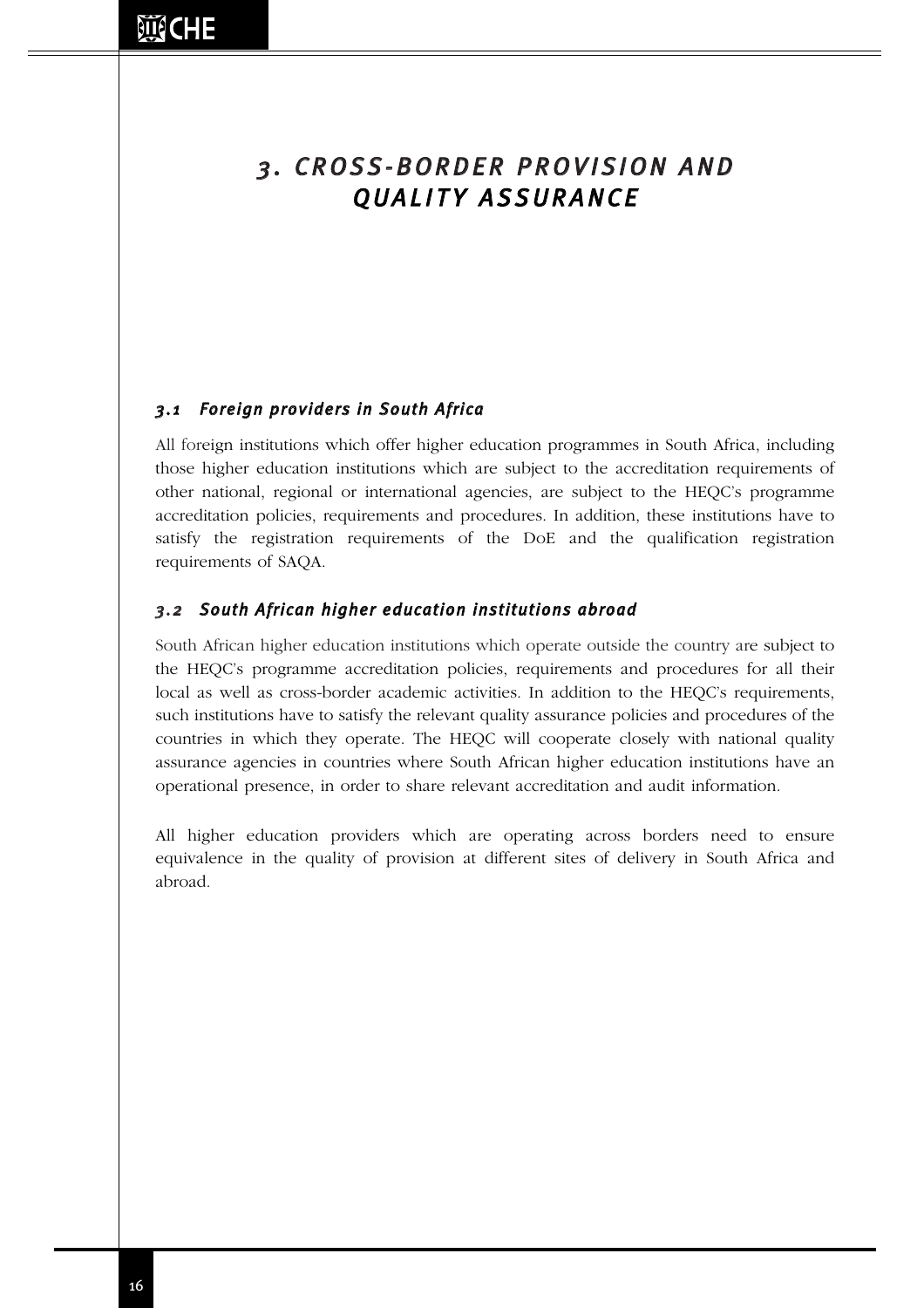# *3 . C ROS S -BORDE R P ROV I S ION AND QUA L I T Y A S SUR ANC E*

# *3. 1 Foreign providers in South Africa*

All foreign institutions which offer higher education programmes in South Africa, including those higher education institutions which are subject to the accreditation requirements of other national, regional or international agencies, are subject to the HEQC's programme accreditation policies, requirements and procedures. In addition, these institutions have to satisfy the registration requirements of the DoE and the qualification registration requirements of SAQA.

# *3.2 South African higher education institutions abroad*

South African higher education institutions which operate outside the country are subject to the HEQC's programme accreditation policies, requirements and procedures for all their local as well as cross-border academic activities. In addition to the HEQC's requirements, such institutions have to satisfy the relevant quality assurance policies and procedures of the countries in which they operate. The HEQC will cooperate closely with national quality assurance agencies in countries where South African higher education institutions have an operational presence, in order to share relevant accreditation and audit information.

All higher education providers which are operating across borders need to ensure equivalence in the quality of provision at different sites of delivery in South Africa and abroad.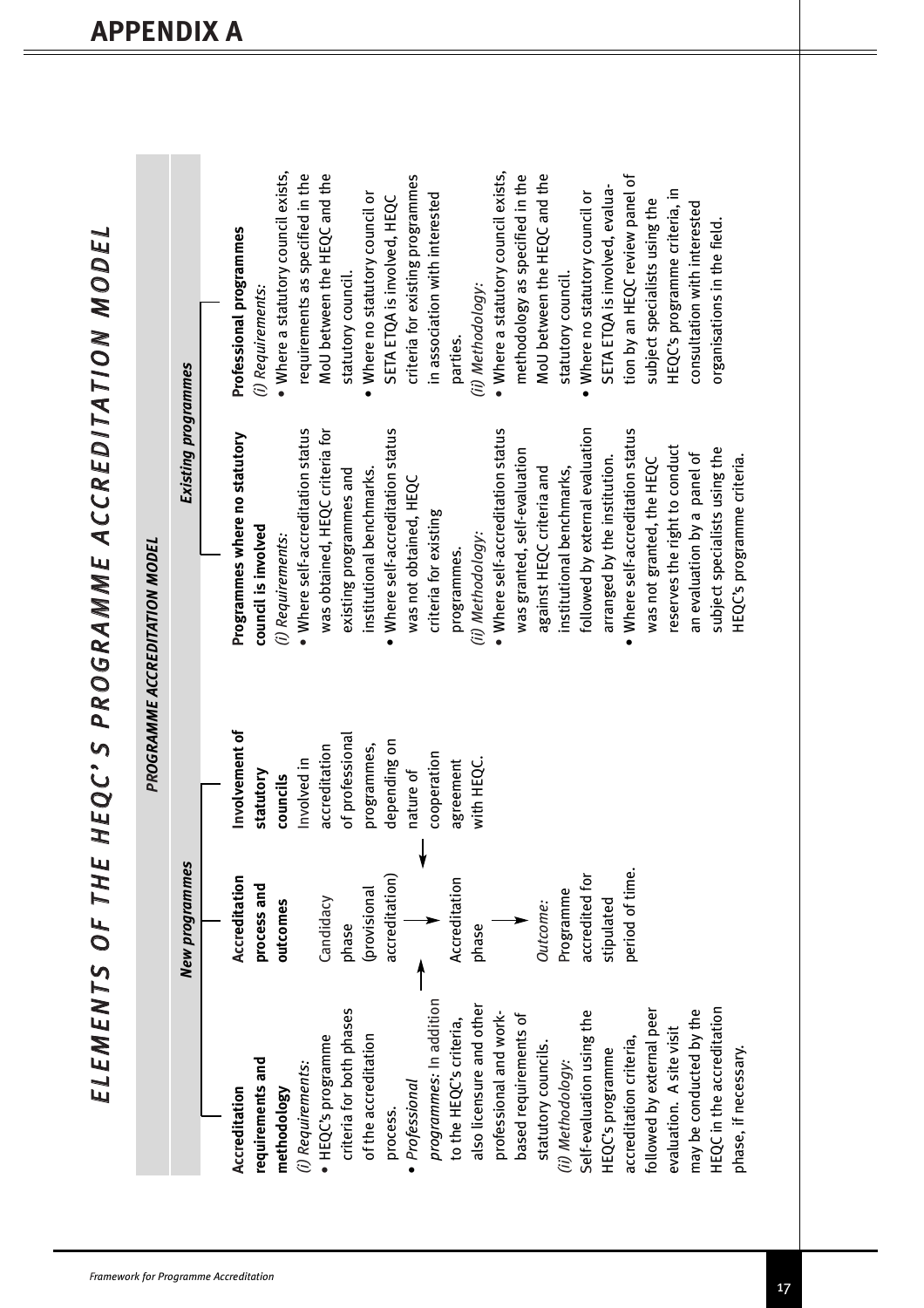ELEMENTS OF THE HEQC'S PROGRAMME ACCREDITATION MODEL

|                           | <i>ELEMENTS OF THE</i> |                 | HEQC'S PROGRAMME ACCREDITATION MODEL |                                     |
|---------------------------|------------------------|-----------------|--------------------------------------|-------------------------------------|
|                           |                        |                 | PROGRAMME ACCREDITATION MODEL        |                                     |
|                           | New programmes         |                 | <b>Existing programmes</b>           |                                     |
|                           |                        |                 |                                      |                                     |
| Accreditation             | Accreditation          | Involvement of  | Programmes where no statutory        | Professional programmes             |
| requirements and          | process and            | statutory       | council is involved                  | (i) Requirements:                   |
| methodology               | outcomes               | councils        | (i) Requirements:                    | . Where a statutory council exists, |
| (i) Requirements:         |                        | Involved in     | · Where self-accreditation status    | requirements as specified in the    |
| · HEQC's programme        | Candidacy              | accreditation   | was obtained, HEQC criteria for      | MoU between the HEQC and the        |
| criteria for both phases  | phase                  | of professional | existing programmes and              | statutory council.                  |
| of the accreditation      | (provisional           | programmes,     | institutional benchmarks.            | Where no statutory council or       |
| process.                  | accreditation)         | depending on    | · Where self-accreditation status    | SETA ETQA is involved, HEQC         |
| · Professional            |                        | nature of       | was not obtained, HEQC               | criteria for existing programmes    |
| programmes: In addition   |                        | cooperation     | criteria for existing                | in association with interested      |
| to the HEQC's criteria,   | Accreditation          | agreement       | programmes.                          | parties.                            |
| also licensure and other  | phase                  | with HEQC.      | (ii) Methodology:                    | (ii) Methodology:                   |
| professional and work-    |                        |                 | • Where self-accreditation status    | . Where a statutory council exists, |
| based requirements of     |                        |                 | was granted, self-evaluation         | methodology as specified in the     |
| statutory councils.       | Outcome:               |                 | against HEQC criteria and            | MoU between the HEQC and the        |
| (ii) Methodology:         | Programme              |                 | institutional benchmarks,            | statutory council.                  |
| Self-evaluation using the | accredited for         |                 | followed by external evaluation      | . Where no statutory council or     |
| HEQC's programme          | stipulated             |                 | arranged by the institution.         | SETA ETQA is involved, evalua-      |
| accreditation criteria,   | period of time.        |                 | · Where self-accreditation status    | tion by an HEQC review panel of     |
| followed by external peer |                        |                 | was not granted, the HEQC            | subject specialists using the       |
| evaluation. A site visit  |                        |                 | reserves the right to conduct        | HEQC's programme criteria, in       |
| may be conducted by the   |                        |                 | an evaluation by a panel of          | consultation with interested        |
| HEQC in the accreditation |                        |                 | subject specialists using the        | organisations in the field.         |
| phase, if necessary.      |                        |                 | HEQC's programme criteria.           |                                     |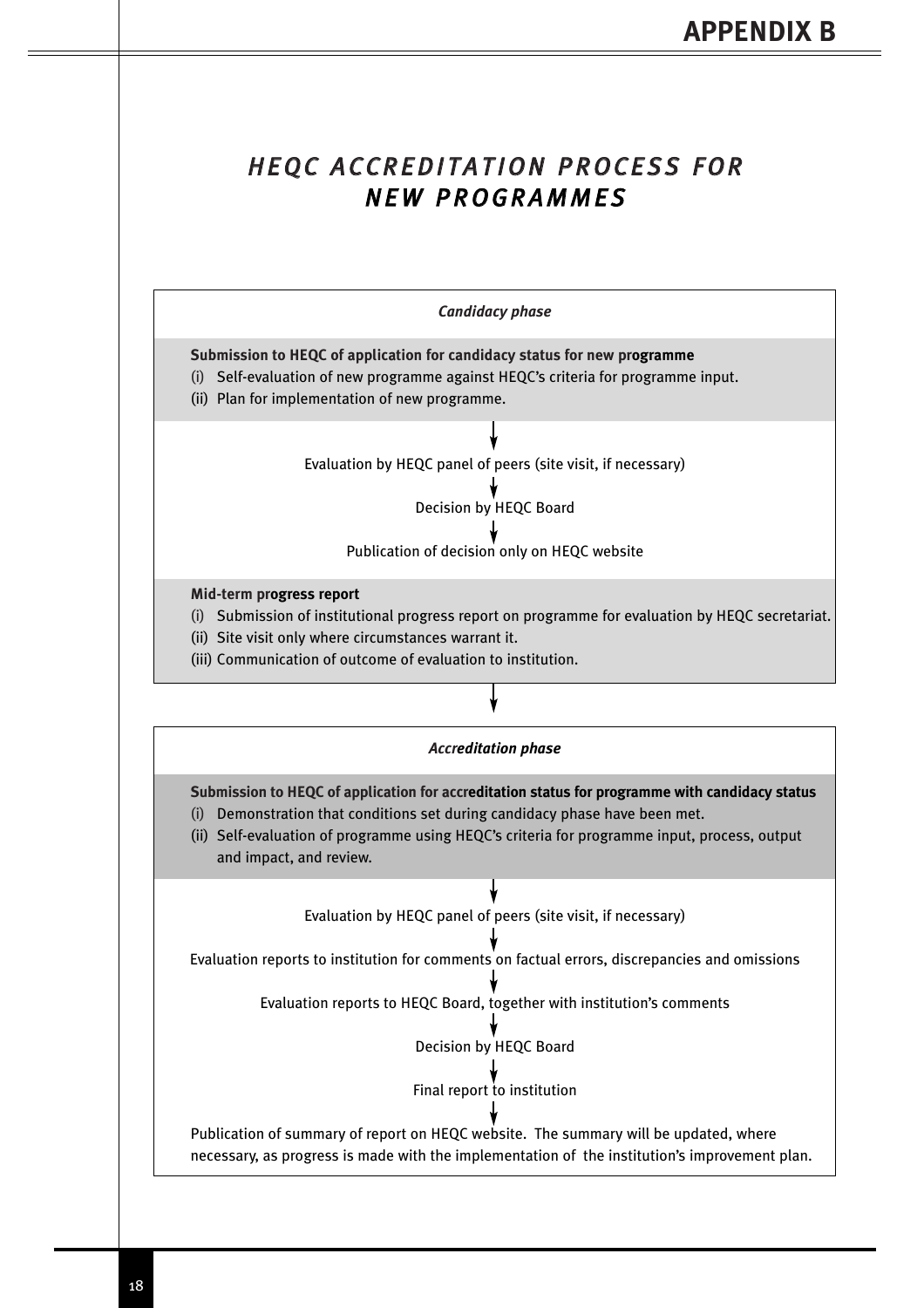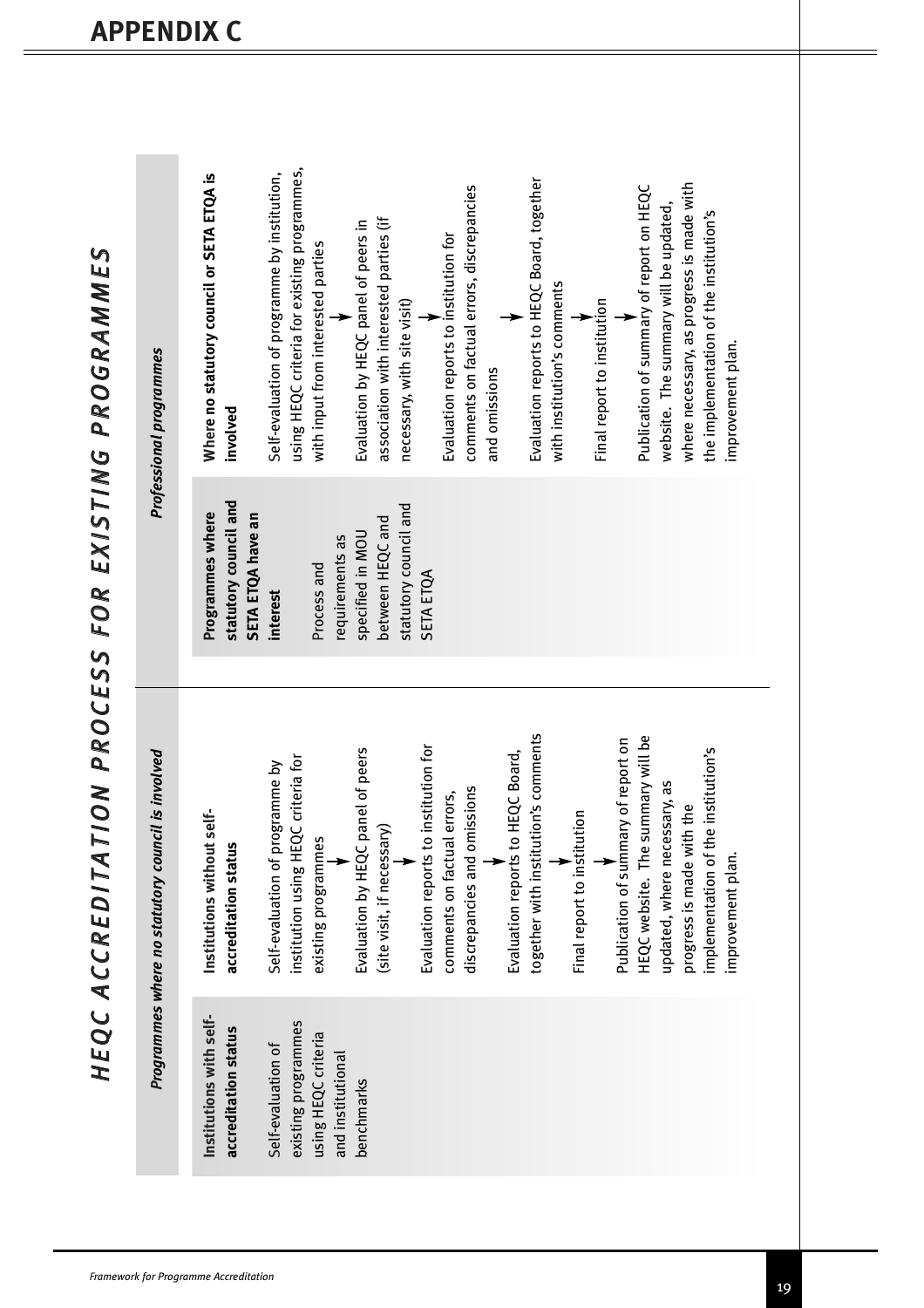| l                | j                                  |
|------------------|------------------------------------|
|                  |                                    |
|                  |                                    |
| .RA              |                                    |
|                  |                                    |
| $\overline{C}$   |                                    |
|                  | 'RO                                |
|                  |                                    |
|                  | $\overline{\mathbf{a}}$            |
|                  | $\overline{C}$                     |
|                  |                                    |
|                  |                                    |
|                  | <b>NILSI</b>                       |
|                  |                                    |
| ľ                | $\overline{\textbf{\textsf{x}}}$   |
|                  | <u>i vi</u>                        |
|                  |                                    |
|                  |                                    |
|                  |                                    |
|                  | <b>FOR</b>                         |
|                  |                                    |
|                  | $\mathbf{\Omega}$                  |
|                  |                                    |
|                  |                                    |
|                  |                                    |
|                  | ROCEST                             |
|                  |                                    |
|                  |                                    |
| $\geq$           |                                    |
|                  | ֧֚֚֚֚֚֚֚֚֚֚֚֚֚֚֚֚֚֚֬֡֡֡֡֡֬֓֡֡֬֓֡֡֬ |
|                  | ATIOI                              |
|                  |                                    |
|                  |                                    |
| ŀ                |                                    |
|                  |                                    |
| l                | Ì                                  |
| ų                |                                    |
|                  | ・コン                                |
|                  |                                    |
|                  | ACCRI                              |
|                  |                                    |
| $\blacktriangle$ | J                                  |
|                  |                                    |
|                  |                                    |
|                  | HEQ                                |
|                  |                                    |

ES

|                                                 | Programmes where no statutory council is involved |                                           | <b>Professional programmes</b>                         |
|-------------------------------------------------|---------------------------------------------------|-------------------------------------------|--------------------------------------------------------|
| Institutions with self-<br>accreditation status | Institutions without sel<br>accreditation status  | statutory council and<br>Programmes where | Where no statutory council or SETA ETQA is<br>involved |
|                                                 |                                                   | SETA ETQA have an                         |                                                        |
| Self-evaluation of                              | Self-evaluation of programme by                   | interest                                  | Self-evaluation of programme by institution,           |
| existing programmes                             | institution using HEQC criteria for               |                                           | using HEQC criteria for existing programmes,           |
| using HEQC criteria                             | existing programmes                               | Process and                               | with input from interested parties                     |
| and institutional                               |                                                   | requirements as                           |                                                        |
| benchmarks                                      | Evaluation by HEQC panel of peers                 | specified in MOU                          | Evaluation by HEQC panel of peers in                   |
|                                                 | (site visit, if necessary)                        | between HEQC and                          | association with interested parties (if                |
|                                                 |                                                   | statutory council and                     | necessary, with site visit)                            |
|                                                 | Evaluation reports to institution for             | <b>SETA ETQA</b>                          |                                                        |
|                                                 | comments on factual errors,                       |                                           | Evaluation reports to institution for                  |
|                                                 | discrepancies and omissions                       |                                           | comments on factual errors, discrepancies              |
|                                                 |                                                   |                                           | and omissions                                          |
|                                                 | Evaluation reports to HEQC Board,                 |                                           |                                                        |
|                                                 | together with institution's comments              |                                           | Evaluation reports to HEQC Board, together             |
|                                                 |                                                   |                                           | with institution's comments                            |
|                                                 | Final report to institution                       |                                           |                                                        |
|                                                 |                                                   |                                           | Final report to institution                            |
|                                                 | Publication of summary of report on               |                                           |                                                        |
|                                                 | HEQC website. The summary will be                 |                                           | Publication of summary of report on HEQC               |
|                                                 | updated, where necessary, as                      |                                           | website. The summary will be updated,                  |
|                                                 | progress is made with the                         |                                           | where necessary, as progress is made with              |
|                                                 | implementation of the institution's               |                                           | the implementation of the institution's                |
|                                                 | improvement plan.                                 |                                           | improvement plan.                                      |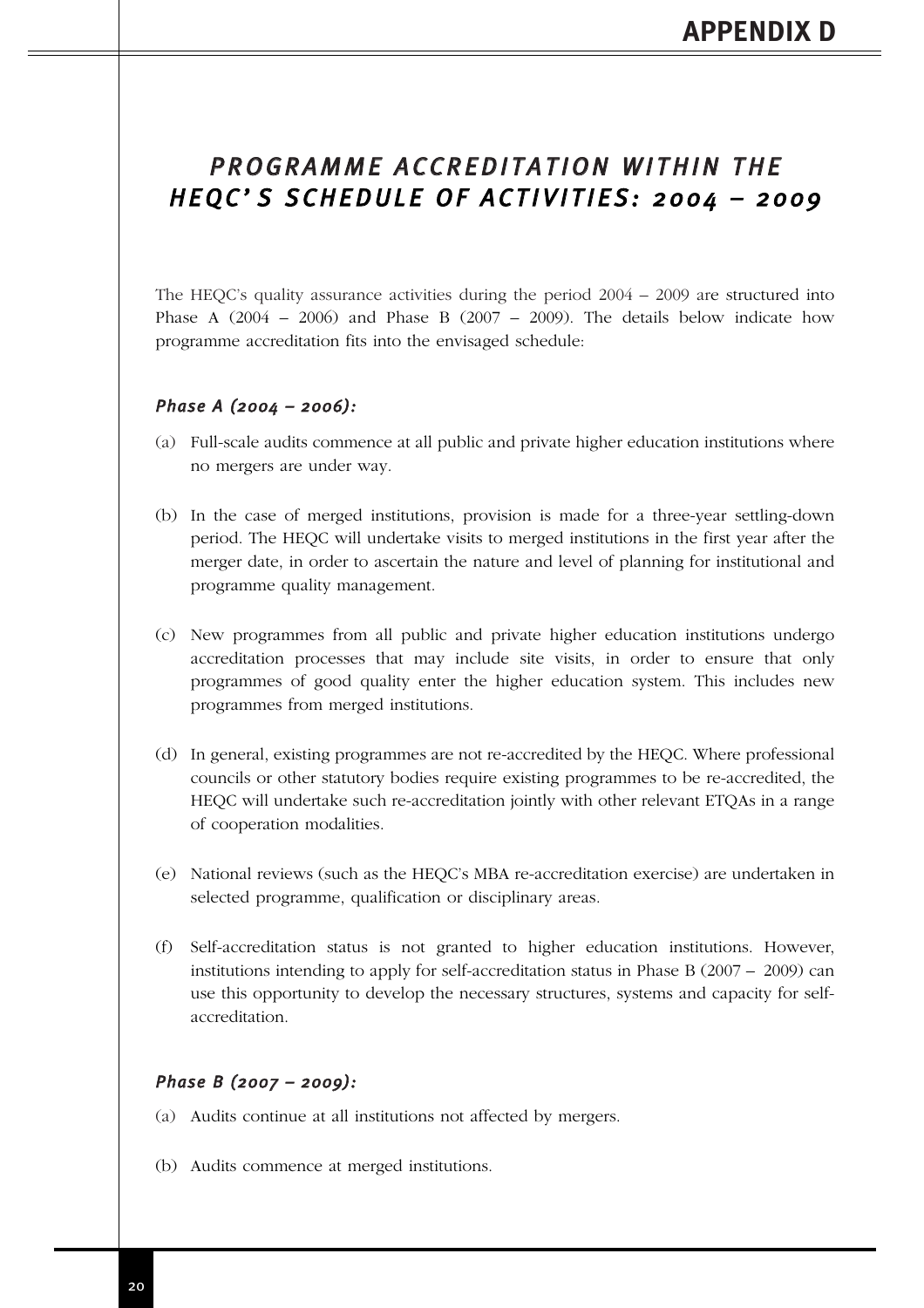# *P ROGR A M M E A C C R EDI T A T ION W I THIN THE HEQC ' S S CHEDUL E OF A C T I V I T I E S : 2 0 0 4 – 2 0 0 9*

The HEQC's quality assurance activities during the period 2004 – 2009 are structured into Phase A (2004 – 2006) and Phase B (2007 – 2009). The details below indicate how programme accreditation fits into the envisaged schedule:

# *Phase A (2004 – 2006):*

- (a) Full-scale audits commence at all public and private higher education institutions where no mergers are under way.
- (b) In the case of merged institutions, provision is made for a three-year settling-down period. The HEQC will undertake visits to merged institutions in the first year after the merger date, in order to ascertain the nature and level of planning for institutional and programme quality management.
- (c) New programmes from all public and private higher education institutions undergo accreditation processes that may include site visits, in order to ensure that only programmes of good quality enter the higher education system. This includes new programmes from merged institutions.
- (d) In general, existing programmes are not re-accredited by the HEQC. Where professional councils or other statutory bodies require existing programmes to be re-accredited, the HEQC will undertake such re-accreditation jointly with other relevant ETQAs in a range of cooperation modalities.
- (e) National reviews (such as the HEQC's MBA re-accreditation exercise) are undertaken in selected programme, qualification or disciplinary areas.
- (f) Self-accreditation status is not granted to higher education institutions. However, institutions intending to apply for self-accreditation status in Phase B (2007 – 2009) can use this opportunity to develop the necessary structures, systems and capacity for selfaccreditation.

## *Phase B (2007 – 2009):*

- (a) Audits continue at all institutions not affected by mergers.
- (b) Audits commence at merged institutions.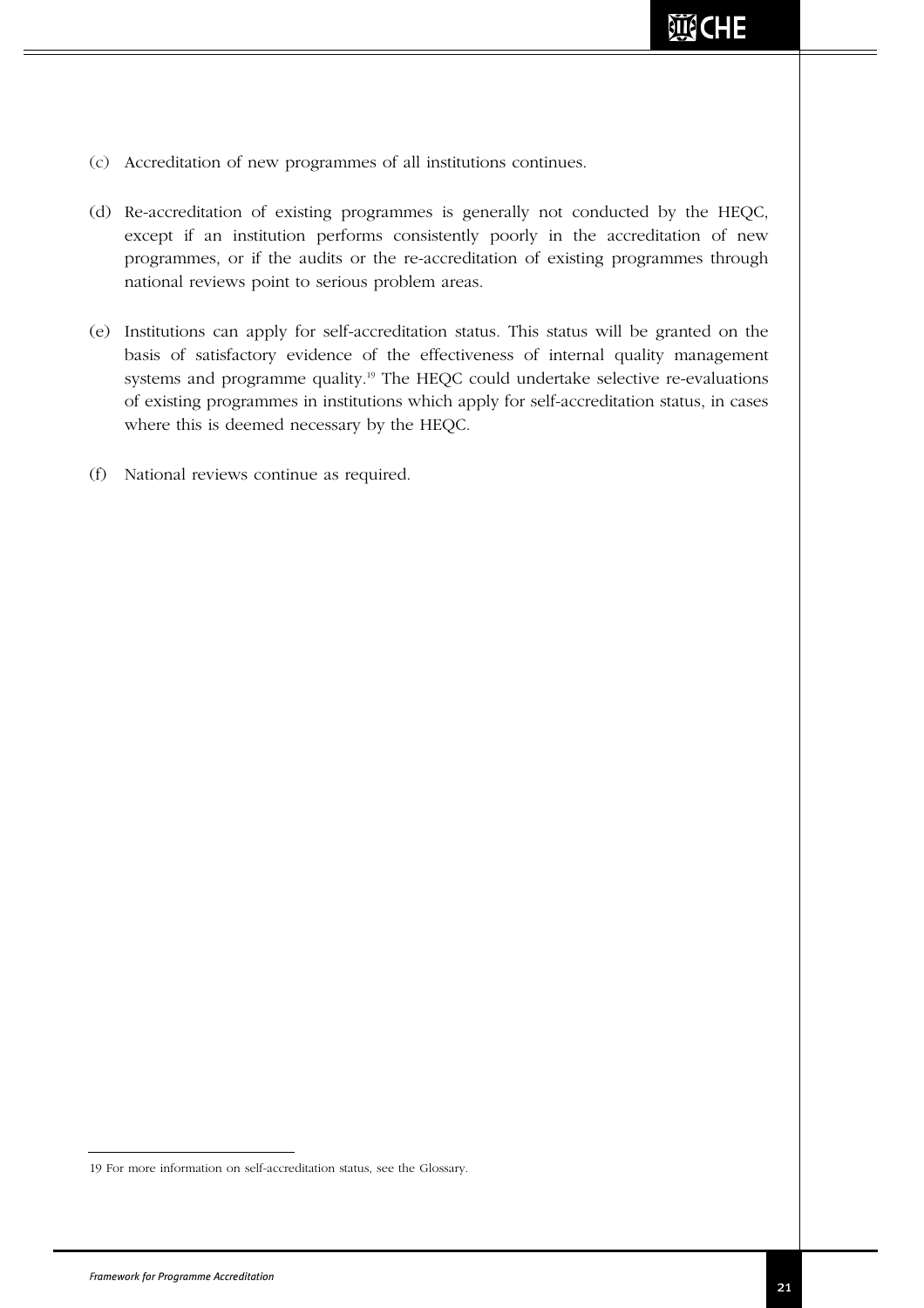- (c) Accreditation of new programmes of all institutions continues.
- (d) Re-accreditation of existing programmes is generally not conducted by the HEQC, except if an institution performs consistently poorly in the accreditation of new programmes, or if the audits or the re-accreditation of existing programmes through national reviews point to serious problem areas.
- (e) Institutions can apply for self-accreditation status. This status will be granted on the basis of satisfactory evidence of the effectiveness of internal quality management systems and programme quality.19 The HEQC could undertake selective re-evaluations of existing programmes in institutions which apply for self-accreditation status, in cases where this is deemed necessary by the HEQC.
- (f) National reviews continue as required.

<sup>19</sup> For more information on self-accreditation status, see the Glossary.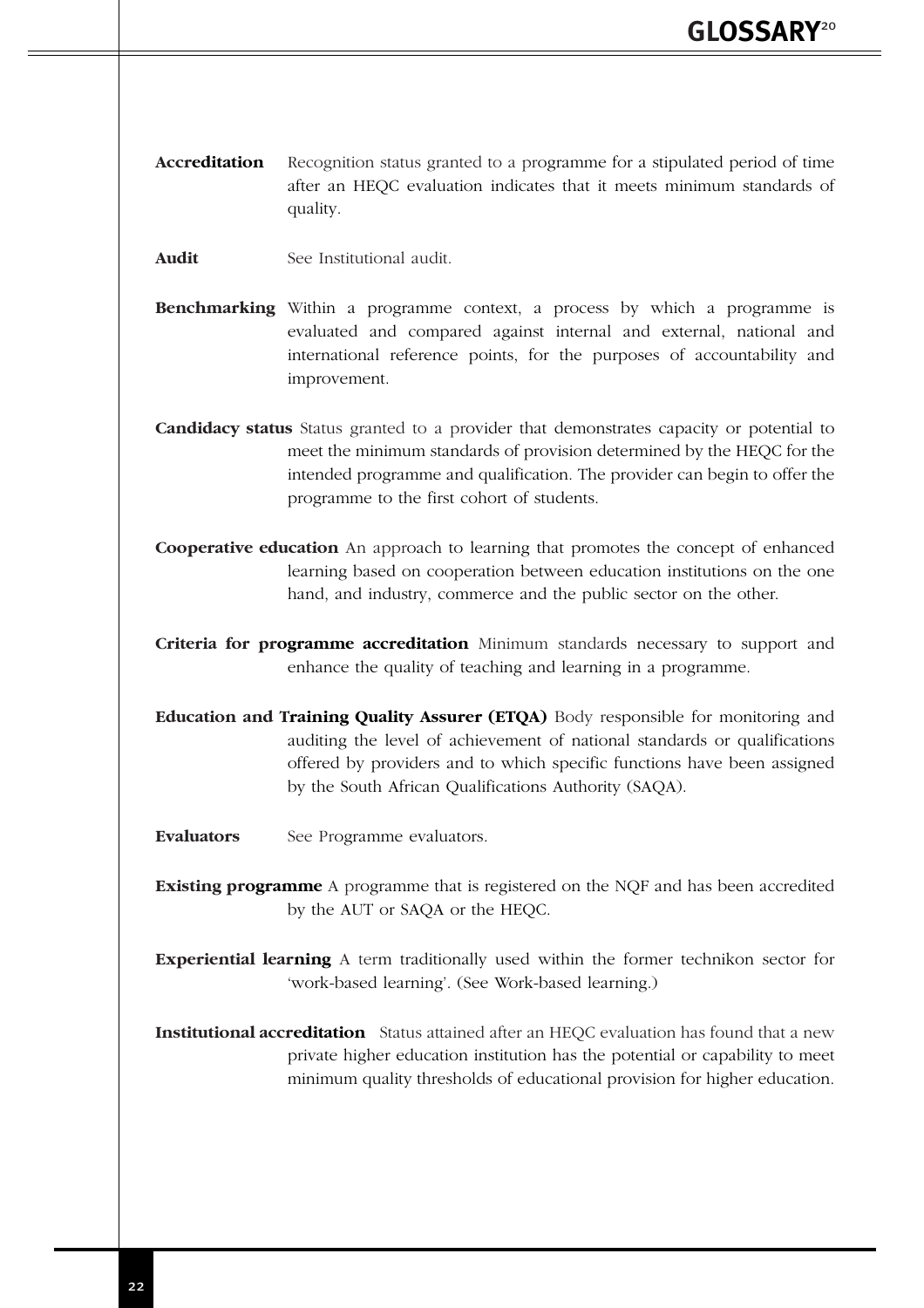- **Accreditation** Recognition status granted to a programme for a stipulated period of time after an HEQC evaluation indicates that it meets minimum standards of quality.
- **Audit** See Institutional audit.
- **Benchmarking** Within a programme context, a process by which a programme is evaluated and compared against internal and external, national and international reference points, for the purposes of accountability and improvement.
- **Candidacy status** Status granted to a provider that demonstrates capacity or potential to meet the minimum standards of provision determined by the HEQC for the intended programme and qualification. The provider can begin to offer the programme to the first cohort of students.
- **Cooperative education** An approach to learning that promotes the concept of enhanced learning based on cooperation between education institutions on the one hand, and industry, commerce and the public sector on the other.
- **Criteria for programme accreditation** Minimum standards necessary to support and enhance the quality of teaching and learning in a programme.
- **Education and Training Quality Assurer (ETQA)** Body responsible for monitoring and auditing the level of achievement of national standards or qualifications offered by providers and to which specific functions have been assigned by the South African Qualifications Authority (SAQA).
- **Evaluators** See Programme evaluators.
- **Existing programme** A programme that is registered on the NQF and has been accredited by the AUT or SAQA or the HEQC.
- **Experiential learning** A term traditionally used within the former technikon sector for 'work-based learning'. (See Work-based learning.)
- **Institutional accreditation** Status attained after an HEOC evaluation has found that a new private higher education institution has the potential or capability to meet minimum quality thresholds of educational provision for higher education.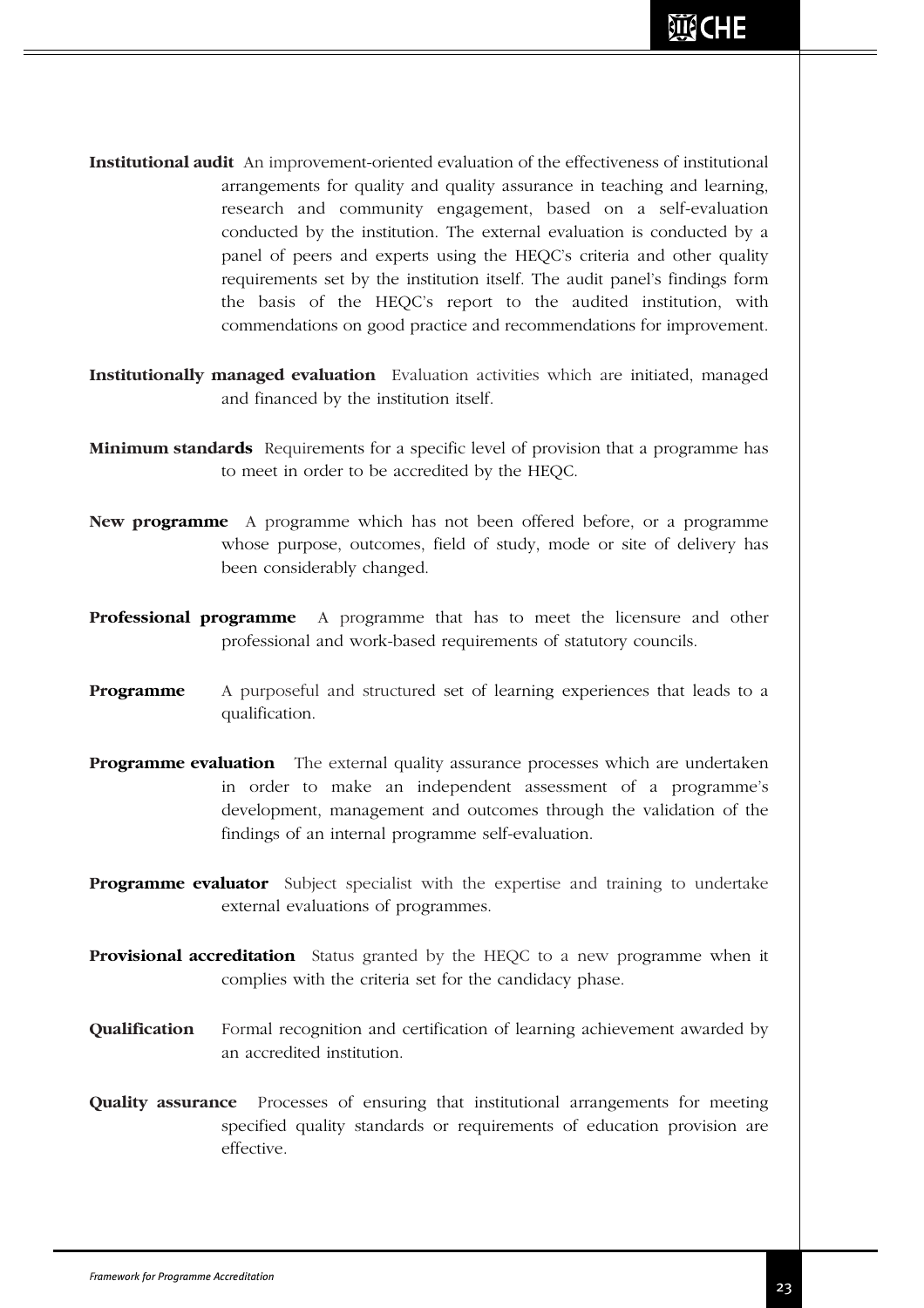- **Institutional audit** An improvement-oriented evaluation of the effectiveness of institutional arrangements for quality and quality assurance in teaching and learning, research and community engagement, based on a self-evaluation conducted by the institution. The external evaluation is conducted by a panel of peers and experts using the HEQC's criteria and other quality requirements set by the institution itself. The audit panel's findings form the basis of the HEQC's report to the audited institution, with commendations on good practice and recommendations for improvement.
- **Institutionally managed evaluation** Evaluation activities which are initiated, managed and financed by the institution itself.
- **Minimum standards** Requirements for a specific level of provision that a programme has to meet in order to be accredited by the HEQC.
- **New programme** A programme which has not been offered before, or a programme whose purpose, outcomes, field of study, mode or site of delivery has been considerably changed.
- **Professional programme** A programme that has to meet the licensure and other professional and work-based requirements of statutory councils.
- **Programme** A purposeful and structured set of learning experiences that leads to a qualification.
- **Programme evaluation** The external quality assurance processes which are undertaken in order to make an independent assessment of a programme's development, management and outcomes through the validation of the findings of an internal programme self-evaluation.
- **Programme evaluator** Subject specialist with the expertise and training to undertake external evaluations of programmes.
- **Provisional accreditation** Status granted by the HEQC to a new programme when it complies with the criteria set for the candidacy phase.
- **Qualification** Formal recognition and certification of learning achievement awarded by an accredited institution.
- **Quality assurance** Processes of ensuring that institutional arrangements for meeting specified quality standards or requirements of education provision are effective.